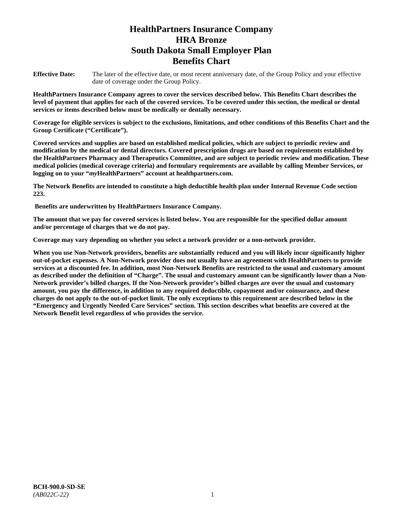# **HealthPartners Insurance Company HRA Bronze South Dakota Small Employer Plan Benefits Chart**

**Effective Date:** The later of the effective date, or most recent anniversary date, of the Group Policy and your effective date of coverage under the Group Policy.

**HealthPartners Insurance Company agrees to cover the services described below. This Benefits Chart describes the level of payment that applies for each of the covered services. To be covered under this section, the medical or dental services or items described below must be medically or dentally necessary.**

**Coverage for eligible services is subject to the exclusions, limitations, and other conditions of this Benefits Chart and the Group Certificate ("Certificate").**

**Covered services and supplies are based on established medical policies, which are subject to periodic review and modification by the medical or dental directors. Covered prescription drugs are based on requirements established by the HealthPartners Pharmacy and Therapeutics Committee, and are subject to periodic review and modification. These medical policies (medical coverage criteria) and formulary requirements are available by calling Member Services, or logging on to your "***my***HealthPartners" account at [healthpartners.com.](file://isntmacsrv0/www.healthpartners.com)**

**The Network Benefits are intended to constitute a high deductible health plan under Internal Revenue Code section 223.**

**Benefits are underwritten by HealthPartners Insurance Company.**

**The amount that we pay for covered services is listed below. You are responsible for the specified dollar amount and/or percentage of charges that we do not pay.**

**Coverage may vary depending on whether you select a network provider or a non-network provider.**

**When you use Non-Network providers, benefits are substantially reduced and you will likely incur significantly higher out-of-pocket expenses. A Non-Network provider does not usually have an agreement with HealthPartners to provide services at a discounted fee. In addition, most Non-Network Benefits are restricted to the usual and customary amount as described under the definition of "Charge". The usual and customary amount can be significantly lower than a Non-Network provider's billed charges. If the Non-Network provider's billed charges are over the usual and customary amount, you pay the difference, in addition to any required deductible, copayment and/or coinsurance, and these charges do not apply to the out-of-pocket limit. The only exceptions to this requirement are described below in the "Emergency and Urgently Needed Care Services" section. This section describes what benefits are covered at the Network Benefit level regardless of who provides the service.**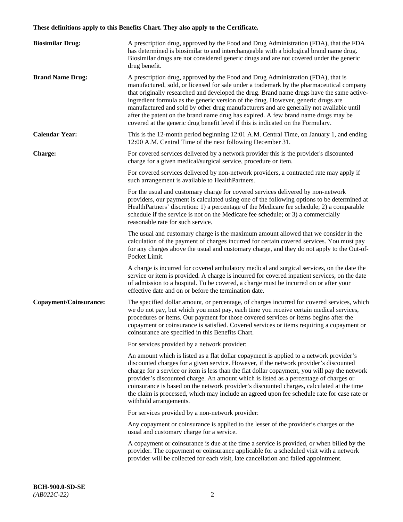# **These definitions apply to this Benefits Chart. They also apply to the Certificate.**

| <b>Biosimilar Drug:</b> | A prescription drug, approved by the Food and Drug Administration (FDA), that the FDA<br>has determined is biosimilar to and interchangeable with a biological brand name drug.<br>Biosimilar drugs are not considered generic drugs and are not covered under the generic<br>drug benefit.                                                                                                                                                                                                                                                                                                                                         |
|-------------------------|-------------------------------------------------------------------------------------------------------------------------------------------------------------------------------------------------------------------------------------------------------------------------------------------------------------------------------------------------------------------------------------------------------------------------------------------------------------------------------------------------------------------------------------------------------------------------------------------------------------------------------------|
| <b>Brand Name Drug:</b> | A prescription drug, approved by the Food and Drug Administration (FDA), that is<br>manufactured, sold, or licensed for sale under a trademark by the pharmaceutical company<br>that originally researched and developed the drug. Brand name drugs have the same active-<br>ingredient formula as the generic version of the drug. However, generic drugs are<br>manufactured and sold by other drug manufacturers and are generally not available until<br>after the patent on the brand name drug has expired. A few brand name drugs may be<br>covered at the generic drug benefit level if this is indicated on the Formulary. |
| <b>Calendar Year:</b>   | This is the 12-month period beginning 12:01 A.M. Central Time, on January 1, and ending<br>12:00 A.M. Central Time of the next following December 31.                                                                                                                                                                                                                                                                                                                                                                                                                                                                               |
| <b>Charge:</b>          | For covered services delivered by a network provider this is the provider's discounted<br>charge for a given medical/surgical service, procedure or item.                                                                                                                                                                                                                                                                                                                                                                                                                                                                           |
|                         | For covered services delivered by non-network providers, a contracted rate may apply if<br>such arrangement is available to HealthPartners.                                                                                                                                                                                                                                                                                                                                                                                                                                                                                         |
|                         | For the usual and customary charge for covered services delivered by non-network<br>providers, our payment is calculated using one of the following options to be determined at<br>HealthPartners' discretion: 1) a percentage of the Medicare fee schedule; 2) a comparable<br>schedule if the service is not on the Medicare fee schedule; or 3) a commercially<br>reasonable rate for such service.                                                                                                                                                                                                                              |
|                         | The usual and customary charge is the maximum amount allowed that we consider in the<br>calculation of the payment of charges incurred for certain covered services. You must pay<br>for any charges above the usual and customary charge, and they do not apply to the Out-of-<br>Pocket Limit.                                                                                                                                                                                                                                                                                                                                    |
|                         | A charge is incurred for covered ambulatory medical and surgical services, on the date the<br>service or item is provided. A charge is incurred for covered inpatient services, on the date<br>of admission to a hospital. To be covered, a charge must be incurred on or after your<br>effective date and on or before the termination date.                                                                                                                                                                                                                                                                                       |
| Copayment/Coinsurance:  | The specified dollar amount, or percentage, of charges incurred for covered services, which<br>we do not pay, but which you must pay, each time you receive certain medical services,<br>procedures or items. Our payment for those covered services or items begins after the<br>copayment or coinsurance is satisfied. Covered services or items requiring a copayment or<br>coinsurance are specified in this Benefits Chart.                                                                                                                                                                                                    |
|                         | For services provided by a network provider:                                                                                                                                                                                                                                                                                                                                                                                                                                                                                                                                                                                        |
|                         | An amount which is listed as a flat dollar copayment is applied to a network provider's<br>discounted charges for a given service. However, if the network provider's discounted<br>charge for a service or item is less than the flat dollar copayment, you will pay the network<br>provider's discounted charge. An amount which is listed as a percentage of charges or<br>coinsurance is based on the network provider's discounted charges, calculated at the time<br>the claim is processed, which may include an agreed upon fee schedule rate for case rate or<br>withhold arrangements.                                    |
|                         | For services provided by a non-network provider:                                                                                                                                                                                                                                                                                                                                                                                                                                                                                                                                                                                    |
|                         | Any copayment or coinsurance is applied to the lesser of the provider's charges or the<br>usual and customary charge for a service.                                                                                                                                                                                                                                                                                                                                                                                                                                                                                                 |
|                         | A copayment or coinsurance is due at the time a service is provided, or when billed by the<br>provider. The copayment or coinsurance applicable for a scheduled visit with a network<br>provider will be collected for each visit, late cancellation and failed appointment.                                                                                                                                                                                                                                                                                                                                                        |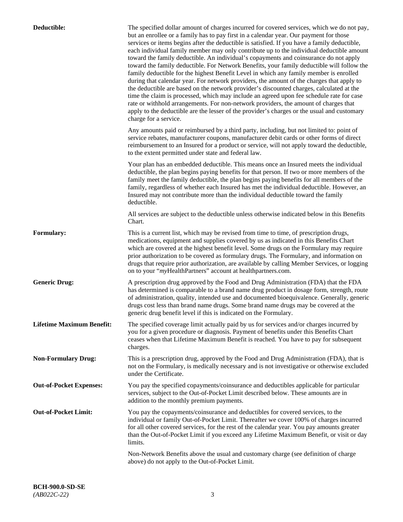| Deductible:                      | The specified dollar amount of charges incurred for covered services, which we do not pay,<br>but an enrollee or a family has to pay first in a calendar year. Our payment for those<br>services or items begins after the deductible is satisfied. If you have a family deductible,<br>each individual family member may only contribute up to the individual deductible amount<br>toward the family deductible. An individual's copayments and coinsurance do not apply<br>toward the family deductible. For Network Benefits, your family deductible will follow the<br>family deductible for the highest Benefit Level in which any family member is enrolled<br>during that calendar year. For network providers, the amount of the charges that apply to<br>the deductible are based on the network provider's discounted charges, calculated at the<br>time the claim is processed, which may include an agreed upon fee schedule rate for case<br>rate or withhold arrangements. For non-network providers, the amount of charges that<br>apply to the deductible are the lesser of the provider's charges or the usual and customary<br>charge for a service. |
|----------------------------------|------------------------------------------------------------------------------------------------------------------------------------------------------------------------------------------------------------------------------------------------------------------------------------------------------------------------------------------------------------------------------------------------------------------------------------------------------------------------------------------------------------------------------------------------------------------------------------------------------------------------------------------------------------------------------------------------------------------------------------------------------------------------------------------------------------------------------------------------------------------------------------------------------------------------------------------------------------------------------------------------------------------------------------------------------------------------------------------------------------------------------------------------------------------------|
|                                  | Any amounts paid or reimbursed by a third party, including, but not limited to: point of<br>service rebates, manufacturer coupons, manufacturer debit cards or other forms of direct<br>reimbursement to an Insured for a product or service, will not apply toward the deductible,<br>to the extent permitted under state and federal law.                                                                                                                                                                                                                                                                                                                                                                                                                                                                                                                                                                                                                                                                                                                                                                                                                            |
|                                  | Your plan has an embedded deductible. This means once an Insured meets the individual<br>deductible, the plan begins paying benefits for that person. If two or more members of the<br>family meet the family deductible, the plan begins paying benefits for all members of the<br>family, regardless of whether each Insured has met the individual deductible. However, an<br>Insured may not contribute more than the individual deductible toward the family<br>deductible.                                                                                                                                                                                                                                                                                                                                                                                                                                                                                                                                                                                                                                                                                       |
|                                  | All services are subject to the deductible unless otherwise indicated below in this Benefits<br>Chart.                                                                                                                                                                                                                                                                                                                                                                                                                                                                                                                                                                                                                                                                                                                                                                                                                                                                                                                                                                                                                                                                 |
| <b>Formulary:</b>                | This is a current list, which may be revised from time to time, of prescription drugs,<br>medications, equipment and supplies covered by us as indicated in this Benefits Chart<br>which are covered at the highest benefit level. Some drugs on the Formulary may require<br>prior authorization to be covered as formulary drugs. The Formulary, and information on<br>drugs that require prior authorization, are available by calling Member Services, or logging<br>on to your "myHealthPartners" account at healthpartners.com.                                                                                                                                                                                                                                                                                                                                                                                                                                                                                                                                                                                                                                  |
| <b>Generic Drug:</b>             | A prescription drug approved by the Food and Drug Administration (FDA) that the FDA<br>has determined is comparable to a brand name drug product in dosage form, strength, route<br>of administration, quality, intended use and documented bioequivalence. Generally, generic<br>drugs cost less than brand name drugs. Some brand name drugs may be covered at the<br>generic drug benefit level if this is indicated on the Formulary.                                                                                                                                                                                                                                                                                                                                                                                                                                                                                                                                                                                                                                                                                                                              |
| <b>Lifetime Maximum Benefit:</b> | The specified coverage limit actually paid by us for services and/or charges incurred by<br>you for a given procedure or diagnosis. Payment of benefits under this Benefits Chart<br>ceases when that Lifetime Maximum Benefit is reached. You have to pay for subsequent<br>charges.                                                                                                                                                                                                                                                                                                                                                                                                                                                                                                                                                                                                                                                                                                                                                                                                                                                                                  |
| <b>Non-Formulary Drug:</b>       | This is a prescription drug, approved by the Food and Drug Administration (FDA), that is<br>not on the Formulary, is medically necessary and is not investigative or otherwise excluded<br>under the Certificate.                                                                                                                                                                                                                                                                                                                                                                                                                                                                                                                                                                                                                                                                                                                                                                                                                                                                                                                                                      |
| <b>Out-of-Pocket Expenses:</b>   | You pay the specified copayments/coinsurance and deductibles applicable for particular<br>services, subject to the Out-of-Pocket Limit described below. These amounts are in<br>addition to the monthly premium payments.                                                                                                                                                                                                                                                                                                                                                                                                                                                                                                                                                                                                                                                                                                                                                                                                                                                                                                                                              |
| <b>Out-of-Pocket Limit:</b>      | You pay the copayments/coinsurance and deductibles for covered services, to the<br>individual or family Out-of-Pocket Limit. Thereafter we cover 100% of charges incurred<br>for all other covered services, for the rest of the calendar year. You pay amounts greater<br>than the Out-of-Pocket Limit if you exceed any Lifetime Maximum Benefit, or visit or day<br>limits.                                                                                                                                                                                                                                                                                                                                                                                                                                                                                                                                                                                                                                                                                                                                                                                         |
|                                  | Non-Network Benefits above the usual and customary charge (see definition of charge<br>above) do not apply to the Out-of-Pocket Limit.                                                                                                                                                                                                                                                                                                                                                                                                                                                                                                                                                                                                                                                                                                                                                                                                                                                                                                                                                                                                                                 |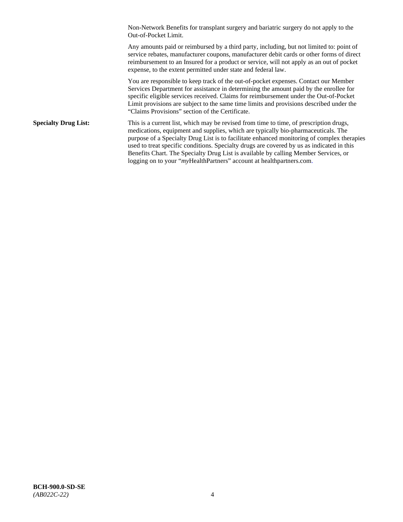Non-Network Benefits for transplant surgery and bariatric surgery do not apply to the Out-of-Pocket Limit.

Any amounts paid or reimbursed by a third party, including, but not limited to: point of service rebates, manufacturer coupons, manufacturer debit cards or other forms of direct reimbursement to an Insured for a product or service, will not apply as an out of pocket expense, to the extent permitted under state and federal law.

You are responsible to keep track of the out-of-pocket expenses. Contact our Member Services Department for assistance in determining the amount paid by the enrollee for specific eligible services received. Claims for reimbursement under the Out-of-Pocket Limit provisions are subject to the same time limits and provisions described under the "Claims Provisions" section of the Certificate.

**Specialty Drug List:** This is a current list, which may be revised from time to time, of prescription drugs, medications, equipment and supplies, which are typically bio-pharmaceuticals. The purpose of a Specialty Drug List is to facilitate enhanced monitoring of complex therapies used to treat specific conditions. Specialty drugs are covered by us as indicated in this Benefits Chart. The Specialty Drug List is available by calling Member Services, or logging on to your "*my*HealthPartners" account at [healthpartners.com.](http://healthpartners.com/)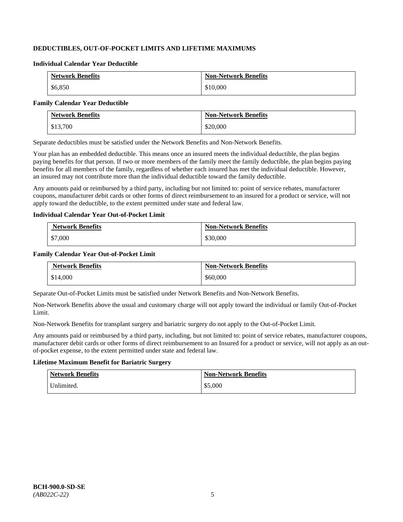# **DEDUCTIBLES, OUT-OF-POCKET LIMITS AND LIFETIME MAXIMUMS**

#### **Individual Calendar Year Deductible**

| <b>Network Benefits</b> | <b>Non-Network Benefits</b> |
|-------------------------|-----------------------------|
| \$6,850                 | \$10,000                    |

#### **Family Calendar Year Deductible**

| <b>Network Benefits</b> | <b>Non-Network Benefits</b> |
|-------------------------|-----------------------------|
| \$13,700                | \$20,000                    |

Separate deductibles must be satisfied under the Network Benefits and Non-Network Benefits.

Your plan has an embedded deductible. This means once an insured meets the individual deductible, the plan begins paying benefits for that person. If two or more members of the family meet the family deductible, the plan begins paying benefits for all members of the family, regardless of whether each insured has met the individual deductible. However, an insured may not contribute more than the individual deductible toward the family deductible.

Any amounts paid or reimbursed by a third party, including but not limited to: point of service rebates, manufacturer coupons, manufacturer debit cards or other forms of direct reimbursement to an insured for a product or service, will not apply toward the deductible, to the extent permitted under state and federal law.

### **Individual Calendar Year Out-of-Pocket Limit**

| <b>Network Benefits</b> | <b>Non-Network Benefits</b> |
|-------------------------|-----------------------------|
| \$7,000                 | \$30,000                    |

### **Family Calendar Year Out-of-Pocket Limit**

| <b>Network Benefits</b> | <b>Non-Network Benefits</b> |
|-------------------------|-----------------------------|
| \$14,000                | \$60,000                    |

Separate Out-of-Pocket Limits must be satisfied under Network Benefits and Non-Network Benefits.

Non-Network Benefits above the usual and customary charge will not apply toward the individual or family Out-of-Pocket Limit.

Non-Network Benefits for transplant surgery and bariatric surgery do not apply to the Out-of-Pocket Limit.

Any amounts paid or reimbursed by a third party, including, but not limited to: point of service rebates, manufacturer coupons, manufacturer debit cards or other forms of direct reimbursement to an Insured for a product or service, will not apply as an outof-pocket expense, to the extent permitted under state and federal law.

# **Lifetime Maximum Benefit for Bariatric Surgery**

| <b>Network Benefits</b> | <b>Non-Network Benefits</b> |
|-------------------------|-----------------------------|
| Unlimited.              | \$5,000                     |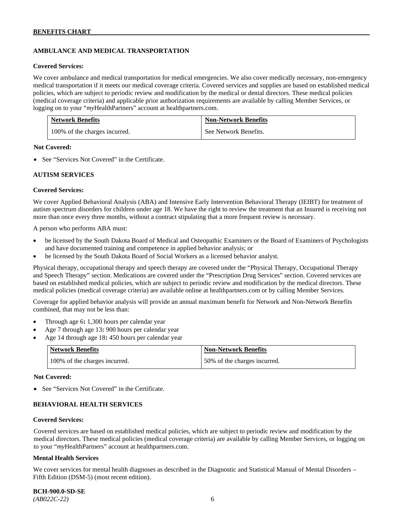# **AMBULANCE AND MEDICAL TRANSPORTATION**

#### **Covered Services:**

We cover ambulance and medical transportation for medical emergencies. We also cover medically necessary, non-emergency medical transportation if it meets our medical coverage criteria. Covered services and supplies are based on established medical policies, which are subject to periodic review and modification by the medical or dental directors. These medical policies (medical coverage criteria) and applicable prior authorization requirements are available by calling Member Services, or logging on to your "*my*HealthPartners" account at [healthpartners.com.](http://healthpartners.com/)

| <b>Network Benefits</b>       | <b>Non-Network Benefits</b> |
|-------------------------------|-----------------------------|
| 100% of the charges incurred. | See Network Benefits.       |

### **Not Covered:**

• See "Services Not Covered" in the Certificate.

### **AUTISM SERVICES**

### **Covered Services:**

We cover Applied Behavioral Analysis (ABA) and Intensive Early Intervention Behavioral Therapy (IEIBT) for treatment of autism spectrum disorders for children under age 18. We have the right to review the treatment that an Insured is receiving not more than once every three months, without a contract stipulating that a more frequent review is necessary.

A person who performs ABA must:

- be licensed by the South Dakota Board of Medical and Osteopathic Examiners or the Board of Examiners of Psychologists and have documented training and competence in applied behavior analysis; or
- be licensed by the South Dakota Board of Social Workers as a licensed behavior analyst.

Physical therapy, occupational therapy and speech therapy are covered under the "Physical Therapy, Occupational Therapy and Speech Therapy" section. Medications are covered under the "Prescription Drug Services" section. Covered services are based on established medical policies, which are subject to periodic review and modification by the medical directors. These medical policies (medical coverage criteria) are available online at [healthpartners.com](http://healthpartners.com/) or by calling Member Services.

Coverage for applied behavior analysis will provide an annual maximum benefit for Network and Non-Network Benefits combined, that may not be less than:

- Through age 6**:** 1,300 hours per calendar year
- Age 7 through age 13**:** 900 hours per calendar year
- Age 14 through age 18**:** 450 hours per calendar year

| <b>Network Benefits</b>       | <b>Non-Network Benefits</b>  |
|-------------------------------|------------------------------|
| 100% of the charges incurred. | 50% of the charges incurred. |

#### **Not Covered:**

• See "Services Not Covered" in the Certificate.

### **BEHAVIORAL HEALTH SERVICES**

#### **Covered Services:**

Covered services are based on established medical policies, which are subject to periodic review and modification by the medical directors. These medical policies (medical coverage criteria) are available by calling Member Services, or logging on to your "*my*HealthPartners" account at [healthpartners.com.](http://healthpartners.com/)

#### **Mental Health Services**

We cover services for mental health diagnoses as described in the Diagnostic and Statistical Manual of Mental Disorders – Fifth Edition (DSM-5) (most recent edition).

**BCH-900.0-SD-SE**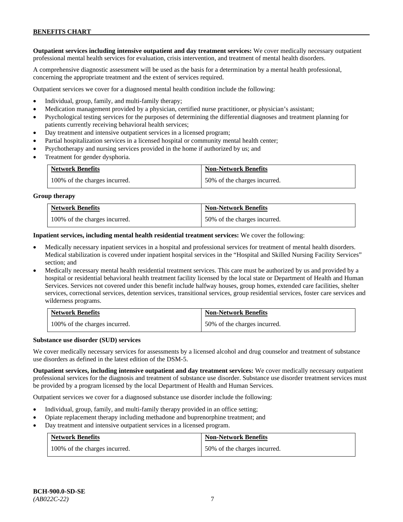**Outpatient services including intensive outpatient and day treatment services:** We cover medically necessary outpatient professional mental health services for evaluation, crisis intervention, and treatment of mental health disorders.

A comprehensive diagnostic assessment will be used as the basis for a determination by a mental health professional, concerning the appropriate treatment and the extent of services required.

Outpatient services we cover for a diagnosed mental health condition include the following:

- Individual, group, family, and multi-family therapy;
- Medication management provided by a physician, certified nurse practitioner, or physician's assistant;
- Psychological testing services for the purposes of determining the differential diagnoses and treatment planning for patients currently receiving behavioral health services;
- Day treatment and intensive outpatient services in a licensed program;
- Partial hospitalization services in a licensed hospital or community mental health center;
- Psychotherapy and nursing services provided in the home if authorized by us; and
- Treatment for gender dysphoria.

| <b>Network Benefits</b>       | <b>Non-Network Benefits</b>  |
|-------------------------------|------------------------------|
| 100% of the charges incurred. | 50% of the charges incurred. |

#### **Group therapy**

| <b>Network Benefits</b>       | <b>Non-Network Benefits</b>  |
|-------------------------------|------------------------------|
| 100% of the charges incurred. | 50% of the charges incurred. |

**Inpatient services, including mental health residential treatment services:** We cover the following:

- Medically necessary inpatient services in a hospital and professional services for treatment of mental health disorders. Medical stabilization is covered under inpatient hospital services in the "Hospital and Skilled Nursing Facility Services" section; and
- Medically necessary mental health residential treatment services. This care must be authorized by us and provided by a hospital or residential behavioral health treatment facility licensed by the local state or Department of Health and Human Services. Services not covered under this benefit include halfway houses, group homes, extended care facilities, shelter services, correctional services, detention services, transitional services, group residential services, foster care services and wilderness programs.

| <b>Network Benefits</b>       | <b>Non-Network Benefits</b>  |
|-------------------------------|------------------------------|
| 100% of the charges incurred. | 50% of the charges incurred. |

#### **Substance use disorder (SUD) services**

We cover medically necessary services for assessments by a licensed alcohol and drug counselor and treatment of substance use disorders as defined in the latest edition of the DSM-5.

**Outpatient services, including intensive outpatient and day treatment services:** We cover medically necessary outpatient professional services for the diagnosis and treatment of substance use disorder. Substance use disorder treatment services must be provided by a program licensed by the local Department of Health and Human Services.

Outpatient services we cover for a diagnosed substance use disorder include the following:

- Individual, group, family, and multi-family therapy provided in an office setting;
- Opiate replacement therapy including methadone and buprenorphine treatment; and
- Day treatment and intensive outpatient services in a licensed program.

| <b>Network Benefits</b> |                               | <b>Non-Network Benefits</b>  |
|-------------------------|-------------------------------|------------------------------|
|                         | 100% of the charges incurred. | 50% of the charges incurred. |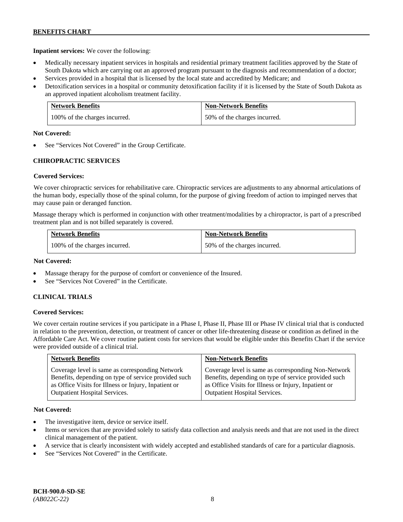**Inpatient services:** We cover the following:

- Medically necessary inpatient services in hospitals and residential primary treatment facilities approved by the State of South Dakota which are carrying out an approved program pursuant to the diagnosis and recommendation of a doctor;
- Services provided in a hospital that is licensed by the local state and accredited by Medicare; and
- Detoxification services in a hospital or community detoxification facility if it is licensed by the State of South Dakota as an approved inpatient alcoholism treatment facility.

| <b>Network Benefits</b>       | <b>Non-Network Benefits</b>  |
|-------------------------------|------------------------------|
| 100% of the charges incurred. | 50% of the charges incurred. |

### **Not Covered:**

See "Services Not Covered" in the Group Certificate.

# **CHIROPRACTIC SERVICES**

### **Covered Services:**

We cover chiropractic services for rehabilitative care. Chiropractic services are adjustments to any abnormal articulations of the human body, especially those of the spinal column, for the purpose of giving freedom of action to impinged nerves that may cause pain or deranged function.

Massage therapy which is performed in conjunction with other treatment/modalities by a chiropractor, is part of a prescribed treatment plan and is not billed separately is covered.

| <b>Network Benefits</b>       | <b>Non-Network Benefits</b>  |
|-------------------------------|------------------------------|
| 100% of the charges incurred. | 50% of the charges incurred. |

### **Not Covered:**

- Massage therapy for the purpose of comfort or convenience of the Insured.
- See "Services Not Covered" in the Certificate.

### **CLINICAL TRIALS**

### **Covered Services:**

We cover certain routine services if you participate in a Phase I, Phase II, Phase III or Phase IV clinical trial that is conducted in relation to the prevention, detection, or treatment of cancer or other life-threatening disease or condition as defined in the Affordable Care Act. We cover routine patient costs for services that would be eligible under this Benefits Chart if the service were provided outside of a clinical trial.

| <b>Network Benefits</b>                              | <b>Non-Network Benefits</b>                          |
|------------------------------------------------------|------------------------------------------------------|
| Coverage level is same as corresponding Network      | Coverage level is same as corresponding Non-Network  |
| Benefits, depending on type of service provided such | Benefits, depending on type of service provided such |
| as Office Visits for Illness or Injury, Inpatient or | as Office Visits for Illness or Injury, Inpatient or |
| <b>Outpatient Hospital Services.</b>                 | Outpatient Hospital Services.                        |

### **Not Covered:**

- The investigative item, device or service itself.
- Items or services that are provided solely to satisfy data collection and analysis needs and that are not used in the direct clinical management of the patient.
- A service that is clearly inconsistent with widely accepted and established standards of care for a particular diagnosis.
- See "Services Not Covered" in the Certificate.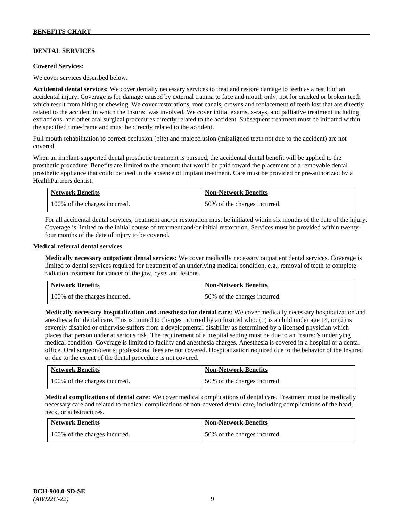# **DENTAL SERVICES**

#### **Covered Services:**

We cover services described below.

**Accidental dental services:** We cover dentally necessary services to treat and restore damage to teeth as a result of an accidental injury. Coverage is for damage caused by external trauma to face and mouth only, not for cracked or broken teeth which result from biting or chewing. We cover restorations, root canals, crowns and replacement of teeth lost that are directly related to the accident in which the Insured was involved. We cover initial exams, x-rays, and palliative treatment including extractions, and other oral surgical procedures directly related to the accident. Subsequent treatment must be initiated within the specified time-frame and must be directly related to the accident.

Full mouth rehabilitation to correct occlusion (bite) and malocclusion (misaligned teeth not due to the accident) are not covered.

When an implant-supported dental prosthetic treatment is pursued, the accidental dental benefit will be applied to the prosthetic procedure. Benefits are limited to the amount that would be paid toward the placement of a removable dental prosthetic appliance that could be used in the absence of implant treatment. Care must be provided or pre-authorized by a HealthPartners dentist.

| <b>Network Benefits</b>       | <b>Non-Network Benefits</b>  |
|-------------------------------|------------------------------|
| 100% of the charges incurred. | 50% of the charges incurred. |

For all accidental dental services, treatment and/or restoration must be initiated within six months of the date of the injury. Coverage is limited to the initial course of treatment and/or initial restoration. Services must be provided within twentyfour months of the date of injury to be covered.

### **Medical referral dental services**

**Medically necessary outpatient dental services:** We cover medically necessary outpatient dental services. Coverage is limited to dental services required for treatment of an underlying medical condition, e.g., removal of teeth to complete radiation treatment for cancer of the jaw, cysts and lesions.

| <b>Network Benefits</b>       | <b>Non-Network Benefits</b>  |
|-------------------------------|------------------------------|
| 100% of the charges incurred. | 50% of the charges incurred. |

**Medically necessary hospitalization and anesthesia for dental care:** We cover medically necessary hospitalization and anesthesia for dental care. This is limited to charges incurred by an Insured who: (1) is a child under age 14, or (2) is severely disabled or otherwise suffers from a developmental disability as determined by a licensed physician which places that person under at serious risk. The requirement of a hospital setting must be due to an Insured's underlying medical condition. Coverage is limited to facility and anesthesia charges. Anesthesia is covered in a hospital or a dental office. Oral surgeon/dentist professional fees are not covered. Hospitalization required due to the behavior of the Insured or due to the extent of the dental procedure is not covered.

| <b>Network Benefits</b>       | <b>Non-Network Benefits</b> |
|-------------------------------|-----------------------------|
| 100% of the charges incurred. | 50% of the charges incurred |

**Medical complications of dental care:** We cover medical complications of dental care. Treatment must be medically necessary care and related to medical complications of non-covered dental care, including complications of the head, neck, or substructures.

| <b>Network Benefits</b>       | <b>Non-Network Benefits</b>  |
|-------------------------------|------------------------------|
| 100% of the charges incurred. | 50% of the charges incurred. |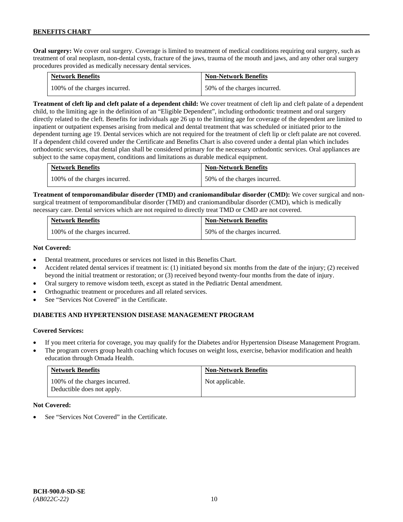**Oral surgery:** We cover oral surgery. Coverage is limited to treatment of medical conditions requiring oral surgery, such as treatment of oral neoplasm, non-dental cysts, fracture of the jaws, trauma of the mouth and jaws, and any other oral surgery procedures provided as medically necessary dental services.

| <b>Network Benefits</b>       | <b>Non-Network Benefits</b>  |
|-------------------------------|------------------------------|
| 100% of the charges incurred. | 50% of the charges incurred. |

**Treatment of cleft lip and cleft palate of a dependent child:** We cover treatment of cleft lip and cleft palate of a dependent child, to the limiting age in the definition of an "Eligible Dependent", including orthodontic treatment and oral surgery directly related to the cleft. Benefits for individuals age 26 up to the limiting age for coverage of the dependent are limited to inpatient or outpatient expenses arising from medical and dental treatment that was scheduled or initiated prior to the dependent turning age 19. Dental services which are not required for the treatment of cleft lip or cleft palate are not covered. If a dependent child covered under the Certificate and Benefits Chart is also covered under a dental plan which includes orthodontic services, that dental plan shall be considered primary for the necessary orthodontic services. Oral appliances are subject to the same copayment, conditions and limitations as durable medical equipment.

| <b>Network Benefits</b>       | <b>Non-Network Benefits</b>  |
|-------------------------------|------------------------------|
| 100% of the charges incurred. | 50% of the charges incurred. |

**Treatment of temporomandibular disorder (TMD) and craniomandibular disorder (CMD):** We cover surgical and nonsurgical treatment of temporomandibular disorder (TMD) and craniomandibular disorder (CMD), which is medically necessary care. Dental services which are not required to directly treat TMD or CMD are not covered.

| <b>Network Benefits</b>       | <b>Non-Network Benefits</b>  |
|-------------------------------|------------------------------|
| 100% of the charges incurred. | 50% of the charges incurred. |

### **Not Covered:**

- Dental treatment, procedures or services not listed in this Benefits Chart.
- Accident related dental services if treatment is: (1) initiated beyond six months from the date of the injury; (2) received beyond the initial treatment or restoration; or (3) received beyond twenty-four months from the date of injury.
- Oral surgery to remove wisdom teeth, except as stated in the Pediatric Dental amendment.
- Orthognathic treatment or procedures and all related services.
- See "Services Not Covered" in the Certificate.

### **DIABETES AND HYPERTENSION DISEASE MANAGEMENT PROGRAM**

### **Covered Services:**

- If you meet criteria for coverage, you may qualify for the Diabetes and/or Hypertension Disease Management Program.
- The program covers group health coaching which focuses on weight loss, exercise, behavior modification and health education through Omada Health.

| <b>Network Benefits</b>                                     | <b>Non-Network Benefits</b> |
|-------------------------------------------------------------|-----------------------------|
| 100% of the charges incurred.<br>Deductible does not apply. | Not applicable.             |

#### **Not Covered:**

See "Services Not Covered" in the Certificate.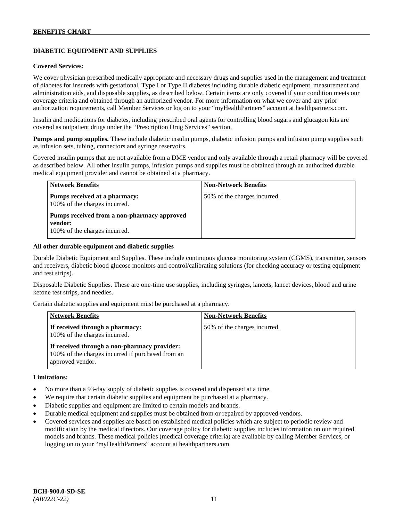# **DIABETIC EQUIPMENT AND SUPPLIES**

### **Covered Services:**

We cover physician prescribed medically appropriate and necessary drugs and supplies used in the management and treatment of diabetes for insureds with gestational, Type I or Type II diabetes including durable diabetic equipment, measurement and administration aids, and disposable supplies, as described below. Certain items are only covered if your condition meets our coverage criteria and obtained through an authorized vendor. For more information on what we cover and any prior authorization requirements, call Member Services or log on to your "myHealthPartners" account at [healthpartners.com.](http://www.healthpartners.com/)

Insulin and medications for diabetes, including prescribed oral agents for controlling blood sugars and glucagon kits are covered as outpatient drugs under the "Prescription Drug Services" section.

**Pumps and pump supplies.** These include diabetic insulin pumps, diabetic infusion pumps and infusion pump supplies such as infusion sets, tubing, connectors and syringe reservoirs.

Covered insulin pumps that are not available from a DME vendor and only available through a retail pharmacy will be covered as described below. All other insulin pumps, infusion pumps and supplies must be obtained through an authorized durable medical equipment provider and cannot be obtained at a pharmacy.

| <b>Network Benefits</b>                                                                 | <b>Non-Network Benefits</b>  |
|-----------------------------------------------------------------------------------------|------------------------------|
| Pumps received at a pharmacy:<br>100% of the charges incurred.                          | 50% of the charges incurred. |
| Pumps received from a non-pharmacy approved<br>vendor:<br>100% of the charges incurred. |                              |

#### **All other durable equipment and diabetic supplies**

Durable Diabetic Equipment and Supplies. These include continuous glucose monitoring system (CGMS), transmitter, sensors and receivers, diabetic blood glucose monitors and control/calibrating solutions (for checking accuracy or testing equipment and test strips).

Disposable Diabetic Supplies. These are one-time use supplies, including syringes, lancets, lancet devices, blood and urine ketone test strips, and needles.

Certain diabetic supplies and equipment must be purchased at a pharmacy.

| <b>Network Benefits</b>                                                                                               | <b>Non-Network Benefits</b>  |
|-----------------------------------------------------------------------------------------------------------------------|------------------------------|
| If received through a pharmacy:<br>100% of the charges incurred.                                                      | 50% of the charges incurred. |
| If received through a non-pharmacy provider:<br>100% of the charges incurred if purchased from an<br>approved vendor. |                              |

#### **Limitations:**

- No more than a 93-day supply of diabetic supplies is covered and dispensed at a time.
- We require that certain diabetic supplies and equipment be purchased at a pharmacy.
- Diabetic supplies and equipment are limited to certain models and brands.
- Durable medical equipment and supplies must be obtained from or repaired by approved vendors.
- Covered services and supplies are based on established medical policies which are subject to periodic review and modification by the medical directors. Our coverage policy for diabetic supplies includes information on our required models and brands. These medical policies (medical coverage criteria) are available by calling Member Services, or logging on to your "myHealthPartners" account at [healthpartners.com.](http://www.healthpartners.com/)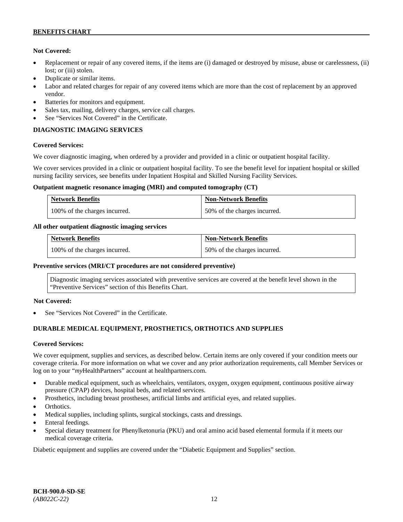### **Not Covered:**

- Replacement or repair of any covered items, if the items are (i) damaged or destroyed by misuse, abuse or carelessness, (ii) lost; or (iii) stolen.
- Duplicate or similar items.
- Labor and related charges for repair of any covered items which are more than the cost of replacement by an approved vendor.
- Batteries for monitors and equipment.
- Sales tax, mailing, delivery charges, service call charges.
- See "Services Not Covered" in the Certificate.

# **DIAGNOSTIC IMAGING SERVICES**

### **Covered Services:**

We cover diagnostic imaging, when ordered by a provider and provided in a clinic or outpatient hospital facility.

We cover services provided in a clinic or outpatient hospital facility. To see the benefit level for inpatient hospital or skilled nursing facility services, see benefits under Inpatient Hospital and Skilled Nursing Facility Services.

### **Outpatient magnetic resonance imaging (MRI) and computed tomography (CT)**

| <b>Network Benefits</b>       | <b>Non-Network Benefits</b>  |
|-------------------------------|------------------------------|
| 100% of the charges incurred. | 50% of the charges incurred. |

### **All other outpatient diagnostic imaging services**

| <b>Network Benefits</b>       | <b>Non-Network Benefits</b>  |
|-------------------------------|------------------------------|
| 100% of the charges incurred. | 50% of the charges incurred. |

### **Preventive services (MRI/CT procedures are not considered preventive)**

Diagnostic imaging services associated with preventive services are covered at the benefit level shown in the "Preventive Services" section of this Benefits Chart.

### **Not Covered:**

See "Services Not Covered" in the Certificate.

# **DURABLE MEDICAL EQUIPMENT, PROSTHETICS, ORTHOTICS AND SUPPLIES**

### **Covered Services:**

We cover equipment, supplies and services, as described below. Certain items are only covered if your condition meets our coverage criteria. For more information on what we cover and any prior authorization requirements, call Member Services or log on to your "*my*HealthPartners" account at [healthpartners.com.](http://healthpartners.com/)

- Durable medical equipment, such as wheelchairs, ventilators, oxygen, oxygen equipment, continuous positive airway pressure (CPAP) devices, hospital beds, and related services.
- Prosthetics, including breast prostheses, artificial limbs and artificial eyes, and related supplies.
- Orthotics.
- Medical supplies, including splints, surgical stockings, casts and dressings.
- Enteral feedings.
- Special dietary treatment for Phenylketonuria (PKU) and oral amino acid based elemental formula if it meets our medical coverage criteria.

Diabetic equipment and supplies are covered under the "Diabetic Equipment and Supplies" section.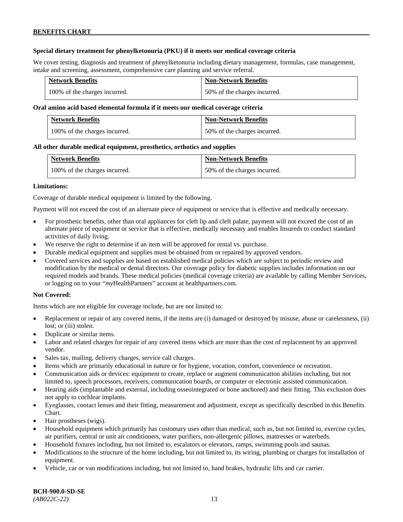### **Special dietary treatment for phenylketonuria (PKU) if it meets our medical coverage criteria**

We cover testing, diagnosis and treatment of phenylketonuria including dietary management, formulas, case management, intake and screening, assessment, comprehensive care planning and service referral.

| <b>Network Benefits</b>       | <b>Non-Network Benefits</b>  |
|-------------------------------|------------------------------|
| 100% of the charges incurred. | 50% of the charges incurred. |

### **Oral amino acid based elemental formula if it meets our medical coverage criteria**

| <b>Network Benefits</b>       | <b>Non-Network Benefits</b>  |
|-------------------------------|------------------------------|
| 100% of the charges incurred. | 50% of the charges incurred. |

### **All other durable medical equipment, prosthetics, orthotics and supplies**

| <b>Network Benefits</b>       | <b>Non-Network Benefits</b>  |
|-------------------------------|------------------------------|
| 100% of the charges incurred. | 50% of the charges incurred. |

### **Limitations:**

Coverage of durable medical equipment is limited by the following.

Payment will not exceed the cost of an alternate piece of equipment or service that is effective and medically necessary.

- For prosthetic benefits, other than oral appliances for cleft lip and cleft palate, payment will not exceed the cost of an alternate piece of equipment or service that is effective, medically necessary and enables Insureds to conduct standard activities of daily living.
- We reserve the right to determine if an item will be approved for rental vs. purchase.
- Durable medical equipment and supplies must be obtained from or repaired by approved vendors.
- Covered services and supplies are based on established medical policies which are subject to periodic review and modification by the medical or dental directors. Our coverage policy for diabetic supplies includes information on our required models and brands. These medical policies (medical coverage criteria) are available by calling Member Services, or logging on to your "*my*HealthPartners" account at [healthpartners.com.](http://www.healthpartners.com/)

### **Not Covered:**

Items which are not eligible for coverage include, but are not limited to:

- Replacement or repair of any covered items, if the items are (i) damaged or destroyed by misuse, abuse or carelessness, (ii) lost; or (iii) stolen.
- Duplicate or similar items.
- Labor and related charges for repair of any covered items which are more than the cost of replacement by an approved vendor.
- Sales tax, mailing, delivery charges, service call charges.
- Items which are primarily educational in nature or for hygiene, vocation, comfort, convenience or recreation.
- Communication aids or devices: equipment to create, replace or augment communication abilities including, but not limited to, speech processors, receivers, communication boards, or computer or electronic assisted communication.
- Hearing aids (implantable and external, including osseointegrated or bone anchored) and their fitting. This exclusion does not apply to cochlear implants.
- Eyeglasses, contact lenses and their fitting, measurement and adjustment, except as specifically described in this Benefits Chart.
- Hair prostheses (wigs).
- Household equipment which primarily has customary uses other than medical, such as, but not limited to, exercise cycles, air purifiers, central or unit air conditioners, water purifiers, non-allergenic pillows, mattresses or waterbeds.
- Household fixtures including, but not limited to, escalators or elevators, ramps, swimming pools and saunas.
- Modifications to the structure of the home including, but not limited to, its wiring, plumbing or charges for installation of equipment.
- Vehicle, car or van modifications including, but not limited to, hand brakes, hydraulic lifts and car carrier.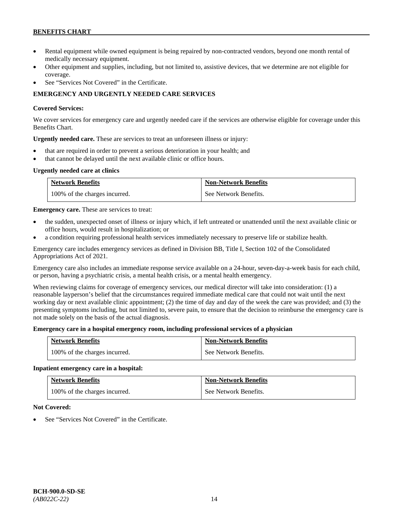- Rental equipment while owned equipment is being repaired by non-contracted vendors, beyond one month rental of medically necessary equipment.
- Other equipment and supplies, including, but not limited to, assistive devices, that we determine are not eligible for coverage.
- See "Services Not Covered" in the Certificate.

# **EMERGENCY AND URGENTLY NEEDED CARE SERVICES**

### **Covered Services:**

We cover services for emergency care and urgently needed care if the services are otherwise eligible for coverage under this Benefits Chart.

**Urgently needed care.** These are services to treat an unforeseen illness or injury:

- that are required in order to prevent a serious deterioration in your health; and
- that cannot be delayed until the next available clinic or office hours.

# **Urgently needed care at clinics**

| <b>Network Benefits</b>       | <b>Non-Network Benefits</b> |
|-------------------------------|-----------------------------|
| 100% of the charges incurred. | See Network Benefits.       |

**Emergency care.** These are services to treat:

- the sudden, unexpected onset of illness or injury which, if left untreated or unattended until the next available clinic or office hours, would result in hospitalization; or
- a condition requiring professional health services immediately necessary to preserve life or stabilize health.

Emergency care includes emergency services as defined in Division BB, Title I, Section 102 of the Consolidated Appropriations Act of 2021.

Emergency care also includes an immediate response service available on a 24-hour, seven-day-a-week basis for each child, or person, having a psychiatric crisis, a mental health crisis, or a mental health emergency.

When reviewing claims for coverage of emergency services, our medical director will take into consideration: (1) a reasonable layperson's belief that the circumstances required immediate medical care that could not wait until the next working day or next available clinic appointment; (2) the time of day and day of the week the care was provided; and (3) the presenting symptoms including, but not limited to, severe pain, to ensure that the decision to reimburse the emergency care is not made solely on the basis of the actual diagnosis.

### **Emergency care in a hospital emergency room, including professional services of a physician**

| <b>Network Benefits</b>       | <b>Non-Network Benefits</b> |
|-------------------------------|-----------------------------|
| 100% of the charges incurred. | See Network Benefits.       |

### **Inpatient emergency care in a hospital:**

| <b>Network Benefits</b>       | <b>Non-Network Benefits</b> |
|-------------------------------|-----------------------------|
| 100% of the charges incurred. | See Network Benefits.       |

### **Not Covered:**

See "Services Not Covered" in the Certificate.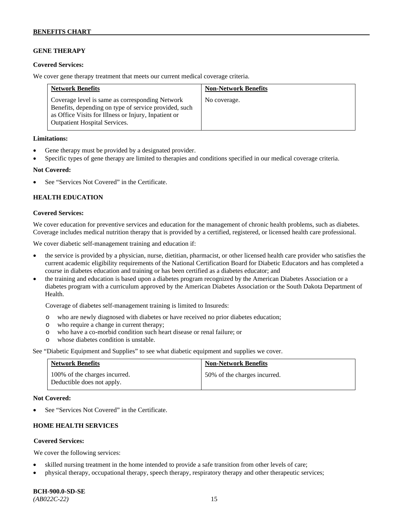# **GENE THERAPY**

### **Covered Services:**

We cover gene therapy treatment that meets our current medical coverage criteria.

| <b>Network Benefits</b>                                                                                                                                                                                  | <b>Non-Network Benefits</b> |
|----------------------------------------------------------------------------------------------------------------------------------------------------------------------------------------------------------|-----------------------------|
| Coverage level is same as corresponding Network<br>Benefits, depending on type of service provided, such<br>as Office Visits for Illness or Injury, Inpatient or<br><b>Outpatient Hospital Services.</b> | No coverage.                |

### **Limitations:**

- Gene therapy must be provided by a designated provider.
- Specific types of gene therapy are limited to therapies and conditions specified in our medical coverage criteria.

### **Not Covered:**

See "Services Not Covered" in the Certificate.

### **HEALTH EDUCATION**

### **Covered Services:**

We cover education for preventive services and education for the management of chronic health problems, such as diabetes. Coverage includes medical nutrition therapy that is provided by a certified, registered, or licensed health care professional.

We cover diabetic self-management training and education if:

- the service is provided by a physician, nurse, dietitian, pharmacist, or other licensed health care provider who satisfies the current academic eligibility requirements of the National Certification Board for Diabetic Educators and has completed a course in diabetes education and training or has been certified as a diabetes educator; and
- the training and education is based upon a diabetes program recognized by the American Diabetes Association or a diabetes program with a curriculum approved by the American Diabetes Association or the South Dakota Department of Health.

Coverage of diabetes self-management training is limited to Insureds:

- o who are newly diagnosed with diabetes or have received no prior diabetes education;
- o who require a change in current therapy;<br>o who have a co-morbid condition such heal
- who have a co-morbid condition such heart disease or renal failure; or
- o whose diabetes condition is unstable.

See "Diabetic Equipment and Supplies" to see what diabetic equipment and supplies we cover.

| <b>Network Benefits</b>                                     | <b>Non-Network Benefits</b>  |
|-------------------------------------------------------------|------------------------------|
| 100% of the charges incurred.<br>Deductible does not apply. | 50% of the charges incurred. |

#### **Not Covered:**

See "Services Not Covered" in the Certificate.

# **HOME HEALTH SERVICES**

### **Covered Services:**

We cover the following services:

- skilled nursing treatment in the home intended to provide a safe transition from other levels of care;
- physical therapy, occupational therapy, speech therapy, respiratory therapy and other therapeutic services;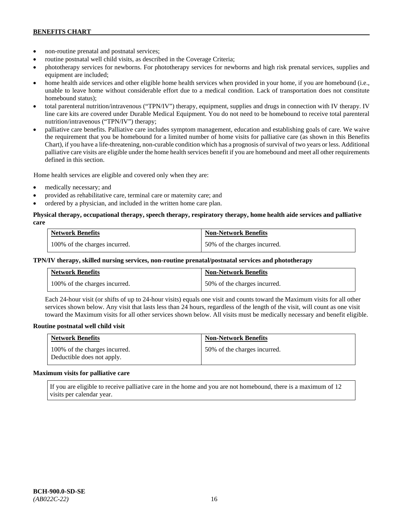- non-routine prenatal and postnatal services;
- routine postnatal well child visits, as described in the Coverage Criteria;
- phototherapy services for newborns. For phototherapy services for newborns and high risk prenatal services, supplies and equipment are included;
- home health aide services and other eligible home health services when provided in your home, if you are homebound (i.e., unable to leave home without considerable effort due to a medical condition. Lack of transportation does not constitute homebound status);
- total parenteral nutrition/intravenous ("TPN/IV") therapy, equipment, supplies and drugs in connection with IV therapy. IV line care kits are covered under Durable Medical Equipment. You do not need to be homebound to receive total parenteral nutrition/intravenous ("TPN/IV") therapy;
- palliative care benefits. Palliative care includes symptom management, education and establishing goals of care. We waive the requirement that you be homebound for a limited number of home visits for palliative care (as shown in this Benefits Chart), if you have a life-threatening, non-curable condition which has a prognosis of survival of two years or less. Additional palliative care visits are eligible under the home health services benefit if you are homebound and meet all other requirements defined in this section.

Home health services are eligible and covered only when they are:

- medically necessary; and
- provided as rehabilitative care, terminal care or maternity care; and
- ordered by a physician, and included in the written home care plan.

### **Physical therapy, occupational therapy, speech therapy, respiratory therapy, home health aide services and palliative care**

| <b>Network Benefits</b>       | <b>Non-Network Benefits</b>  |
|-------------------------------|------------------------------|
| 100% of the charges incurred. | 50% of the charges incurred. |

### **TPN/IV therapy, skilled nursing services, non-routine prenatal/postnatal services and phototherapy**

| Network Benefits              | <b>Non-Network Benefits</b>  |
|-------------------------------|------------------------------|
| 100% of the charges incurred. | 50% of the charges incurred. |

Each 24-hour visit (or shifts of up to 24-hour visits) equals one visit and counts toward the Maximum visits for all other services shown below. Any visit that lasts less than 24 hours, regardless of the length of the visit, will count as one visit toward the Maximum visits for all other services shown below. All visits must be medically necessary and benefit eligible.

#### **Routine postnatal well child visit**

| <b>Network Benefits</b>                                     | <b>Non-Network Benefits</b>  |
|-------------------------------------------------------------|------------------------------|
| 100% of the charges incurred.<br>Deductible does not apply. | 50% of the charges incurred. |

#### **Maximum visits for palliative care**

If you are eligible to receive palliative care in the home and you are not homebound, there is a maximum of 12 visits per calendar year.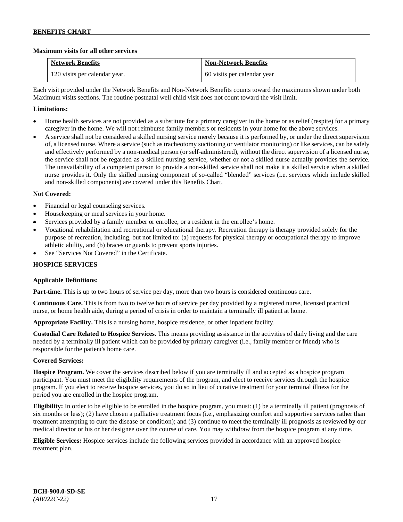### **Maximum visits for all other services**

| <b>Network Benefits</b>       | <b>Non-Network Benefits</b> |
|-------------------------------|-----------------------------|
| 120 visits per calendar year. | 60 visits per calendar year |

Each visit provided under the Network Benefits and Non-Network Benefits counts toward the maximums shown under both Maximum visits sections. The routine postnatal well child visit does not count toward the visit limit.

### **Limitations:**

- Home health services are not provided as a substitute for a primary caregiver in the home or as relief (respite) for a primary caregiver in the home. We will not reimburse family members or residents in your home for the above services.
- A service shall not be considered a skilled nursing service merely because it is performed by, or under the direct supervision of, a licensed nurse. Where a service (such as tracheotomy suctioning or ventilator monitoring) or like services, can be safely and effectively performed by a non-medical person (or self-administered), without the direct supervision of a licensed nurse, the service shall not be regarded as a skilled nursing service, whether or not a skilled nurse actually provides the service. The unavailability of a competent person to provide a non-skilled service shall not make it a skilled service when a skilled nurse provides it. Only the skilled nursing component of so-called "blended" services (i.e. services which include skilled and non-skilled components) are covered under this Benefits Chart.

### **Not Covered:**

- Financial or legal counseling services.
- Housekeeping or meal services in your home.
- Services provided by a family member or enrollee, or a resident in the enrollee's home.
- Vocational rehabilitation and recreational or educational therapy. Recreation therapy is therapy provided solely for the purpose of recreation, including, but not limited to: (a) requests for physical therapy or occupational therapy to improve athletic ability, and (b) braces or guards to prevent sports injuries.
- See "Services Not Covered" in the Certificate.

### **HOSPICE SERVICES**

### **Applicable Definitions:**

**Part-time.** This is up to two hours of service per day, more than two hours is considered continuous care.

**Continuous Care.** This is from two to twelve hours of service per day provided by a registered nurse, licensed practical nurse, or home health aide, during a period of crisis in order to maintain a terminally ill patient at home.

**Appropriate Facility.** This is a nursing home, hospice residence, or other inpatient facility.

**Custodial Care Related to Hospice Services.** This means providing assistance in the activities of daily living and the care needed by a terminally ill patient which can be provided by primary caregiver (i.e., family member or friend) who is responsible for the patient's home care.

### **Covered Services:**

**Hospice Program.** We cover the services described below if you are terminally ill and accepted as a hospice program participant. You must meet the eligibility requirements of the program, and elect to receive services through the hospice program. If you elect to receive hospice services, you do so in lieu of curative treatment for your terminal illness for the period you are enrolled in the hospice program.

**Eligibility:** In order to be eligible to be enrolled in the hospice program, you must: (1) be a terminally ill patient (prognosis of six months or less); (2) have chosen a palliative treatment focus (i.e., emphasizing comfort and supportive services rather than treatment attempting to cure the disease or condition); and (3) continue to meet the terminally ill prognosis as reviewed by our medical director or his or her designee over the course of care. You may withdraw from the hospice program at any time.

**Eligible Services:** Hospice services include the following services provided in accordance with an approved hospice treatment plan.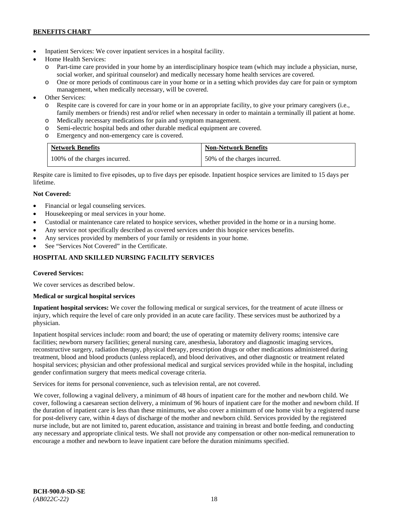- Inpatient Services: We cover inpatient services in a hospital facility.
- Home Health Services:
	- Part-time care provided in your home by an interdisciplinary hospice team (which may include a physician, nurse, social worker, and spiritual counselor) and medically necessary home health services are covered.
	- o One or more periods of continuous care in your home or in a setting which provides day care for pain or symptom management, when medically necessary, will be covered.
- Other Services:
	- o Respite care is covered for care in your home or in an appropriate facility, to give your primary caregivers (i.e., family members or friends) rest and/or relief when necessary in order to maintain a terminally ill patient at home*.*
	- o Medically necessary medications for pain and symptom management.
	- o Semi-electric hospital beds and other durable medical equipment are covered.
	- o Emergency and non-emergency care is covered.

| <b>Network Benefits</b>       | <b>Non-Network Benefits</b>  |
|-------------------------------|------------------------------|
| 100% of the charges incurred. | 50% of the charges incurred. |

Respite care is limited to five episodes, up to five days per episode. Inpatient hospice services are limited to 15 days per lifetime.

# **Not Covered:**

- Financial or legal counseling services.
- Housekeeping or meal services in your home.
- Custodial or maintenance care related to hospice services, whether provided in the home or in a nursing home.
- Any service not specifically described as covered services under this hospice services benefits.
- Any services provided by members of your family or residents in your home.
- See "Services Not Covered" in the Certificate.

# **HOSPITAL AND SKILLED NURSING FACILITY SERVICES**

### **Covered Services:**

We cover services as described below.

### **Medical or surgical hospital services**

**Inpatient hospital services:** We cover the following medical or surgical services, for the treatment of acute illness or injury, which require the level of care only provided in an acute care facility. These services must be authorized by a physician.

Inpatient hospital services include: room and board; the use of operating or maternity delivery rooms; intensive care facilities; newborn nursery facilities; general nursing care, anesthesia, laboratory and diagnostic imaging services, reconstructive surgery, radiation therapy, physical therapy, prescription drugs or other medications administered during treatment, blood and blood products (unless replaced), and blood derivatives, and other diagnostic or treatment related hospital services; physician and other professional medical and surgical services provided while in the hospital, including gender confirmation surgery that meets medical coverage criteria.

Services for items for personal convenience, such as television rental, are not covered.

We cover, following a vaginal delivery, a minimum of 48 hours of inpatient care for the mother and newborn child. We cover, following a caesarean section delivery, a minimum of 96 hours of inpatient care for the mother and newborn child. If the duration of inpatient care is less than these minimums, we also cover a minimum of one home visit by a registered nurse for post-delivery care, within 4 days of discharge of the mother and newborn child. Services provided by the registered nurse include, but are not limited to, parent education, assistance and training in breast and bottle feeding, and conducting any necessary and appropriate clinical tests. We shall not provide any compensation or other non-medical remuneration to encourage a mother and newborn to leave inpatient care before the duration minimums specified.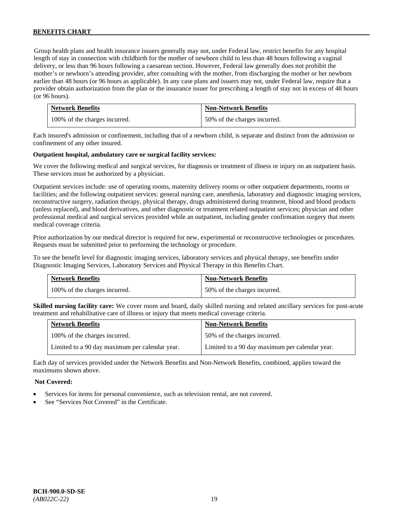Group health plans and health insurance issuers generally may not, under Federal law, restrict benefits for any hospital length of stay in connection with childbirth for the mother of newborn child to less than 48 hours following a vaginal delivery, or less than 96 hours following a caesarean section. However, Federal law generally does not prohibit the mother's or newborn's attending provider, after consulting with the mother, from discharging the mother or her newborn earlier than 48 hours (or 96 hours as applicable). In any case plans and issuers may not, under Federal law, require that a provider obtain authorization from the plan or the insurance issuer for prescribing a length of stay not in excess of 48 hours (or 96 hours).

| <b>Network Benefits</b>       | <b>Non-Network Benefits</b>  |
|-------------------------------|------------------------------|
| 100% of the charges incurred. | 50% of the charges incurred. |

Each insured's admission or confinement, including that of a newborn child, is separate and distinct from the admission or confinement of any other insured.

### **Outpatient hospital, ambulatory care or surgical facility services:**

We cover the following medical and surgical services, for diagnosis or treatment of illness or injury on an outpatient basis. These services must be authorized by a physician.

Outpatient services include: use of operating rooms, maternity delivery rooms or other outpatient departments, rooms or facilities; and the following outpatient services: general nursing care, anesthesia, laboratory and diagnostic imaging services, reconstructive surgery, radiation therapy, physical therapy, drugs administered during treatment, blood and blood products (unless replaced), and blood derivatives, and other diagnostic or treatment related outpatient services; physician and other professional medical and surgical services provided while an outpatient, including gender confirmation surgery that meets medical coverage criteria.

Prior authorization by our medical director is required for new, experimental or reconstructive technologies or procedures. Requests must be submitted prior to performing the technology or procedure.

To see the benefit level for diagnostic imaging services, laboratory services and physical therapy, see benefits under Diagnostic Imaging Services, Laboratory Services and Physical Therapy in this Benefits Chart.

| <b>Network Benefits</b>       | <b>Non-Network Benefits</b>  |
|-------------------------------|------------------------------|
| 100% of the charges incurred. | 50% of the charges incurred. |

**Skilled nursing facility care:** We cover room and board, daily skilled nursing and related ancillary services for post-acute treatment and rehabilitative care of illness or injury that meets medical coverage criteria.

| <b>Network Benefits</b>                        | <b>Non-Network Benefits</b>                    |
|------------------------------------------------|------------------------------------------------|
| 100% of the charges incurred.                  | 50% of the charges incurred.                   |
| Limited to a 90 day maximum per calendar year. | Limited to a 90 day maximum per calendar year. |

Each day of services provided under the Network Benefits and Non-Network Benefits, combined, applies toward the maximums shown above.

#### **Not Covered:**

- Services for items for personal convenience, such as television rental, are not covered.
- See "Services Not Covered" in the Certificate.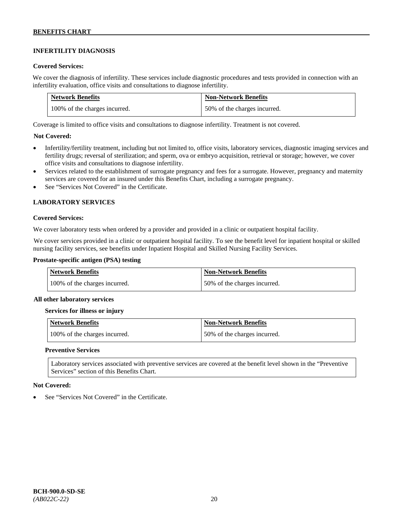# **INFERTILITY DIAGNOSIS**

### **Covered Services:**

We cover the diagnosis of infertility. These services include diagnostic procedures and tests provided in connection with an infertility evaluation, office visits and consultations to diagnose infertility.

| <b>Network Benefits</b>       | <b>Non-Network Benefits</b>  |
|-------------------------------|------------------------------|
| 100% of the charges incurred. | 50% of the charges incurred. |

Coverage is limited to office visits and consultations to diagnose infertility. Treatment is not covered.

### **Not Covered:**

- Infertility/fertility treatment, including but not limited to, office visits, laboratory services, diagnostic imaging services and fertility drugs; reversal of sterilization; and sperm, ova or embryo acquisition, retrieval or storage; however, we cover office visits and consultations to diagnose infertility.
- Services related to the establishment of surrogate pregnancy and fees for a surrogate. However, pregnancy and maternity services are covered for an insured under this Benefits Chart, including a surrogate pregnancy.
- See "Services Not Covered" in the Certificate.

### **LABORATORY SERVICES**

#### **Covered Services:**

We cover laboratory tests when ordered by a provider and provided in a clinic or outpatient hospital facility.

We cover services provided in a clinic or outpatient hospital facility. To see the benefit level for inpatient hospital or skilled nursing facility services, see benefits under Inpatient Hospital and Skilled Nursing Facility Services.

### **Prostate-specific antigen (PSA) testing**

| <b>Network Benefits</b>       | <b>Non-Network Benefits</b>  |
|-------------------------------|------------------------------|
| 100% of the charges incurred. | 50% of the charges incurred. |

#### **All other laboratory services**

#### **Services for illness or injury**

| Network Benefits              | <b>Non-Network Benefits</b>  |
|-------------------------------|------------------------------|
| 100% of the charges incurred. | 50% of the charges incurred. |

#### **Preventive Services**

Laboratory services associated with preventive services are covered at the benefit level shown in the "Preventive Services" section of this Benefits Chart.

#### **Not Covered:**

See "Services Not Covered" in the Certificate.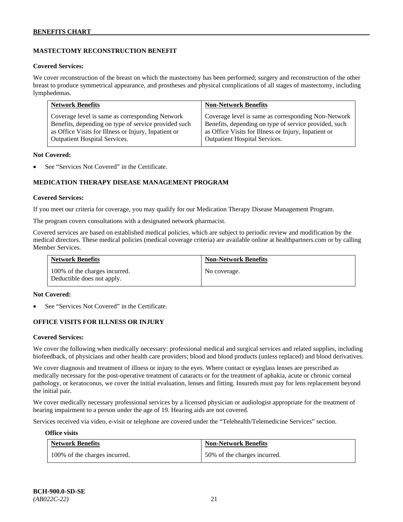# **MASTECTOMY RECONSTRUCTION BENEFIT**

### **Covered Services:**

We cover reconstruction of the breast on which the mastectomy has been performed; surgery and reconstruction of the other breast to produce symmetrical appearance, and prostheses and physical complications of all stages of mastectomy, including lymphedemas.

| <b>Network Benefits</b>                              | <b>Non-Network Benefits</b>                           |
|------------------------------------------------------|-------------------------------------------------------|
| Coverage level is same as corresponding Network      | Coverage level is same as corresponding Non-Network   |
| Benefits, depending on type of service provided such | Benefits, depending on type of service provided, such |
| as Office Visits for Illness or Injury, Inpatient or | as Office Visits for Illness or Injury, Inpatient or  |
| Outpatient Hospital Services.                        | Outpatient Hospital Services.                         |

#### **Not Covered:**

See "Services Not Covered" in the Certificate.

# **MEDICATION THERAPY DISEASE MANAGEMENT PROGRAM**

### **Covered Services:**

If you meet our criteria for coverage, you may qualify for our Medication Therapy Disease Management Program.

The program covers consultations with a designated network pharmacist.

Covered services are based on established medical policies, which are subject to periodic review and modification by the medical directors. These medical policies (medical coverage criteria) are available online at [healthpartners.com](http://www.healthpartners.com/) or by calling Member Services.

| <b>Network Benefits</b>                                     | <b>Non-Network Benefits</b> |
|-------------------------------------------------------------|-----------------------------|
| 100% of the charges incurred.<br>Deductible does not apply. | No coverage.                |

#### **Not Covered:**

See "Services Not Covered" in the Certificate.

### **OFFICE VISITS FOR ILLNESS OR INJURY**

#### **Covered Services:**

We cover the following when medically necessary: professional medical and surgical services and related supplies, including biofeedback, of physicians and other health care providers; blood and blood products (unless replaced) and blood derivatives.

We cover diagnosis and treatment of illness or injury to the eyes. Where contact or eyeglass lenses are prescribed as medically necessary for the post-operative treatment of cataracts or for the treatment of aphakia, acute or chronic corneal pathology, or keratoconus, we cover the initial evaluation, lenses and fitting. Insureds must pay for lens replacement beyond the initial pair.

We cover medically necessary professional services by a licensed physician or audiologist appropriate for the treatment of hearing impairment to a person under the age of 19. Hearing aids are not covered.

Services received via video, e-visit or telephone are covered under the "Telehealth/Telemedicine Services" section.

#### **Office visits**

| <b>Network Benefits</b>       | <b>Non-Network Benefits</b>  |
|-------------------------------|------------------------------|
| 100% of the charges incurred. | 50% of the charges incurred. |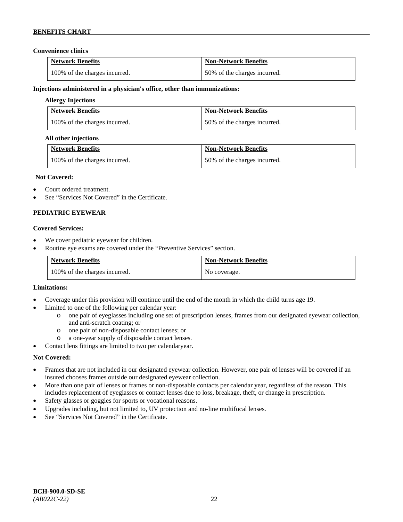### **Convenience clinics**

| <b>Network Benefits</b>       | <b>Non-Network Benefits</b>  |
|-------------------------------|------------------------------|
| 100% of the charges incurred. | 50% of the charges incurred. |

### **Injections administered in a physician's office, other than immunizations:**

### **Allergy Injections**

| <b>Network Benefits</b>       | <b>Non-Network Benefits</b>  |
|-------------------------------|------------------------------|
| 100% of the charges incurred. | 50% of the charges incurred. |

### **All other injections**

| <b>Network Benefits</b>       | <b>Non-Network Benefits</b>  |
|-------------------------------|------------------------------|
| 100% of the charges incurred. | 50% of the charges incurred. |

### **Not Covered:**

- Court ordered treatment.
- See "Services Not Covered" in the Certificate.

### **PEDIATRIC EYEWEAR**

### **Covered Services:**

- We cover pediatric eyewear for children.
- Routine eye exams are covered under the "Preventive Services" section.

| <b>Network Benefits</b>       | <b>Non-Network Benefits</b> |
|-------------------------------|-----------------------------|
| 100% of the charges incurred. | No coverage.                |

#### **Limitations:**

- Coverage under this provision will continue until the end of the month in which the child turns age 19.
- Limited to one of the following per calendar year:
	- o one pair of eyeglasses including one set of prescription lenses, frames from our designated eyewear collection, and anti-scratch coating; or
	- o one pair of non-disposable contact lenses; or
	- a one-year supply of disposable contact lenses.
- Contact lens fittings are limited to two per calendaryear.

### **Not Covered:**

- Frames that are not included in our designated eyewear collection. However, one pair of lenses will be covered if an insured chooses frames outside our designated eyewear collection.
- More than one pair of lenses or frames or non-disposable contacts per calendar year, regardless of the reason. This includes replacement of eyeglasses or contact lenses due to loss, breakage, theft, or change in prescription.
- Safety glasses or goggles for sports or vocational reasons.
- Upgrades including, but not limited to, UV protection and no-line multifocal lenses.
- See "Services Not Covered" in the Certificate.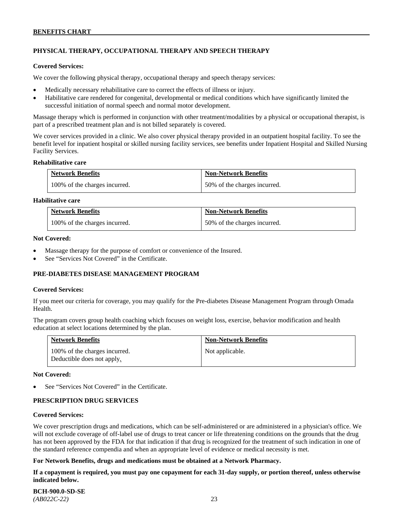# **PHYSICAL THERAPY, OCCUPATIONAL THERAPY AND SPEECH THERAPY**

#### **Covered Services:**

We cover the following physical therapy, occupational therapy and speech therapy services:

- Medically necessary rehabilitative care to correct the effects of illness or injury.
- Habilitative care rendered for congenital, developmental or medical conditions which have significantly limited the successful initiation of normal speech and normal motor development.

Massage therapy which is performed in conjunction with other treatment/modalities by a physical or occupational therapist, is part of a prescribed treatment plan and is not billed separately is covered.

We cover services provided in a clinic. We also cover physical therapy provided in an outpatient hospital facility. To see the benefit level for inpatient hospital or skilled nursing facility services, see benefits under Inpatient Hospital and Skilled Nursing Facility Services.

#### **Rehabilitative care**

| <b>Network Benefits</b>       | <b>Non-Network Benefits</b>  |
|-------------------------------|------------------------------|
| 100% of the charges incurred. | 50% of the charges incurred. |

### **Habilitative care**

| <b>Network Benefits</b>       | <b>Non-Network Benefits</b>  |
|-------------------------------|------------------------------|
| 100% of the charges incurred. | 50% of the charges incurred. |

#### **Not Covered:**

- Massage therapy for the purpose of comfort or convenience of the Insured.
- See "Services Not Covered" in the Certificate.

### **PRE-DIABETES DISEASE MANAGEMENT PROGRAM**

#### **Covered Services:**

If you meet our criteria for coverage, you may qualify for the Pre-diabetes Disease Management Program through Omada Health.

The program covers group health coaching which focuses on weight loss, exercise, behavior modification and health education at select locations determined by the plan.

| <b>Network Benefits</b>                                     | <b>Non-Network Benefits</b> |
|-------------------------------------------------------------|-----------------------------|
| 100% of the charges incurred.<br>Deductible does not apply. | Not applicable.             |

#### **Not Covered:**

See "Services Not Covered" in the Certificate.

### **PRESCRIPTION DRUG SERVICES**

#### **Covered Services:**

We cover prescription drugs and medications, which can be self-administered or are administered in a physician's office. We will not exclude coverage of off-label use of drugs to treat cancer or life threatening conditions on the grounds that the drug has not been approved by the FDA for that indication if that drug is recognized for the treatment of such indication in one of the standard reference compendia and when an appropriate level of evidence or medical necessity is met.

### **For Network Benefits, drugs and medications must be obtained at a Network Pharmacy.**

**If a copayment is required, you must pay one copayment for each 31-day supply, or portion thereof, unless otherwise indicated below.**

| <b>BCH-900.0-SD-SE</b> |  |
|------------------------|--|
| $(AB022C-22)$          |  |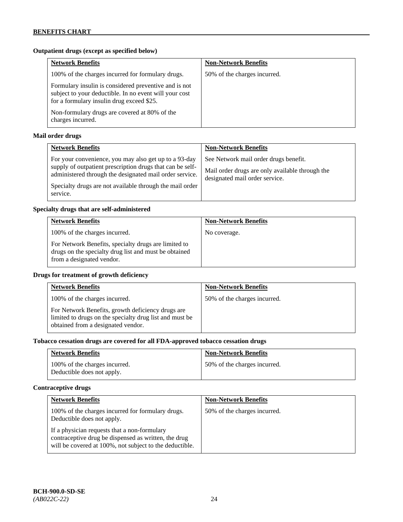# **Outpatient drugs (except as specified below)**

| <b>Network Benefits</b>                                                                                                                                      | <b>Non-Network Benefits</b>  |
|--------------------------------------------------------------------------------------------------------------------------------------------------------------|------------------------------|
| 100% of the charges incurred for formulary drugs.                                                                                                            | 50% of the charges incurred. |
| Formulary insulin is considered preventive and is not<br>subject to your deductible. In no event will your cost<br>for a formulary insulin drug exceed \$25. |                              |
| Non-formulary drugs are covered at 80% of the<br>charges incurred.                                                                                           |                              |

# **Mail order drugs**

| <b>Network Benefits</b>                                                                                                                                                                                                                               | <b>Non-Network Benefits</b>                                                                                                |
|-------------------------------------------------------------------------------------------------------------------------------------------------------------------------------------------------------------------------------------------------------|----------------------------------------------------------------------------------------------------------------------------|
| For your convenience, you may also get up to a 93-day<br>supply of outpatient prescription drugs that can be self-<br>administered through the designated mail order service.<br>Specialty drugs are not available through the mail order<br>service. | See Network mail order drugs benefit.<br>Mail order drugs are only available through the<br>designated mail order service. |

### **Specialty drugs that are self-administered**

| <b>Network Benefits</b>                                                                                                                    | <b>Non-Network Benefits</b> |
|--------------------------------------------------------------------------------------------------------------------------------------------|-----------------------------|
| 100% of the charges incurred.                                                                                                              | No coverage.                |
| For Network Benefits, specialty drugs are limited to<br>drugs on the specialty drug list and must be obtained<br>from a designated vendor. |                             |

### **Drugs for treatment of growth deficiency**

| <b>Network Benefits</b>                                                                                                                            | <b>Non-Network Benefits</b>  |
|----------------------------------------------------------------------------------------------------------------------------------------------------|------------------------------|
| 100% of the charges incurred.                                                                                                                      | 50% of the charges incurred. |
| For Network Benefits, growth deficiency drugs are<br>limited to drugs on the specialty drug list and must be<br>obtained from a designated vendor. |                              |

# **Tobacco cessation drugs are covered for all FDA-approved tobacco cessation drugs**

| <b>Network Benefits</b>                                     | <b>Non-Network Benefits</b>  |
|-------------------------------------------------------------|------------------------------|
| 100% of the charges incurred.<br>Deductible does not apply. | 50% of the charges incurred. |

# **Contraceptive drugs**

| <b>Network Benefits</b>                                                                                                                                         | <b>Non-Network Benefits</b>  |
|-----------------------------------------------------------------------------------------------------------------------------------------------------------------|------------------------------|
| 100% of the charges incurred for formulary drugs.<br>Deductible does not apply.                                                                                 | 50% of the charges incurred. |
| If a physician requests that a non-formulary<br>contraceptive drug be dispensed as written, the drug<br>will be covered at 100%, not subject to the deductible. |                              |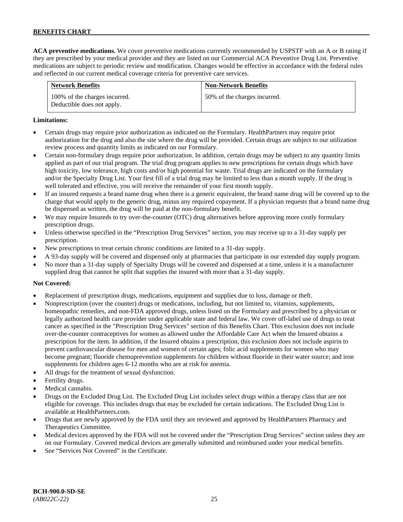**ACA preventive medications.** We cover preventive medications currently recommended by USPSTF with an A or B rating if they are prescribed by your medical provider and they are listed on our Commercial ACA Preventive Drug List. Preventive medications are subject to periodic review and modification. Changes would be effective in accordance with the federal rules and reflected in our current medical coverage criteria for preventive care services.

| <b>Network Benefits</b>                                     | <b>Non-Network Benefits</b>  |
|-------------------------------------------------------------|------------------------------|
| 100% of the charges incurred.<br>Deductible does not apply. | 50% of the charges incurred. |

### **Limitations:**

- Certain drugs may require prior authorization as indicated on the Formulary. HealthPartners may require prior authorization for the drug and also the site where the drug will be provided. Certain drugs are subject to our utilization review process and quantity limits as indicated on our Formulary.
- Certain non-formulary drugs require prior authorization. In addition, certain drugs may be subject to any quantity limits applied as part of our trial program. The trial drug program applies to new prescriptions for certain drugs which have high toxicity, low tolerance, high costs and/or high potential for waste. Trial drugs are indicated on the formulary and/or the Specialty Drug List. Your first fill of a trial drug may be limited to less than a month supply. If the drug is well tolerated and effective, you will receive the remainder of your first month supply.
- If an insured requests a brand name drug when there is a generic equivalent, the brand name drug will be covered up to the charge that would apply to the generic drug, minus any required copayment. If a physician requests that a brand name drug be dispensed as written, the drug will be paid at the non-formulary benefit.
- We may require Insureds to try over-the-counter (OTC) drug alternatives before approving more costly formulary prescription drugs.
- Unless otherwise specified in the "Prescription Drug Services" section, you may receive up to a 31-day supply per prescription.
- New prescriptions to treat certain chronic conditions are limited to a 31-day supply.
- A 93-day supply will be covered and dispensed only at pharmacies that participate in our extended day supply program.
- No more than a 31-day supply of Specialty Drugs will be covered and dispensed at a time, unless it is a manufacturer supplied drug that cannot be split that supplies the insured with more than a 31-day supply.

### **Not Covered:**

- Replacement of prescription drugs, medications, equipment and supplies due to loss, damage or theft.
- Nonprescription (over the counter) drugs or medications, including, but not limited to, vitamins, supplements, homeopathic remedies, and non-FDA approved drugs, unless listed on the Formulary and prescribed by a physician or legally authorized health care provider under applicable state and federal law. We cover off-label use of drugs to treat cancer as specified in the "Prescription Drug Services" section of this Benefits Chart. This exclusion does not include over-the-counter contraceptives for women as allowed under the Affordable Care Act when the Insured obtains a prescription for the item. In addition, if the Insured obtains a prescription, this exclusion does not include aspirin to prevent cardiovascular disease for men and women of certain ages; folic acid supplements for women who may become pregnant; fluoride chemoprevention supplements for children without fluoride in their water source; and iron supplements for children ages 6-12 months who are at risk for anemia.
- All drugs for the treatment of sexual dysfunction.
- Fertility drugs.
- Medical cannabis.
- Drugs on the Excluded Drug List. The Excluded Drug List includes select drugs within a therapy class that are not eligible for coverage. This includes drugs that may be excluded for certain indications. The Excluded Drug List is available a[t HealthPartners.com.](http://www.healthpartners.com/)
- Drugs that are newly approved by the FDA until they are reviewed and approved by HealthPartners Pharmacy and Therapeutics Committee.
- Medical devices approved by the FDA will not be covered under the "Prescription Drug Services" section unless they are on our Formulary. Covered medical devices are generally submitted and reimbursed under your medical benefits.
- See "Services Not Covered" in the Certificate.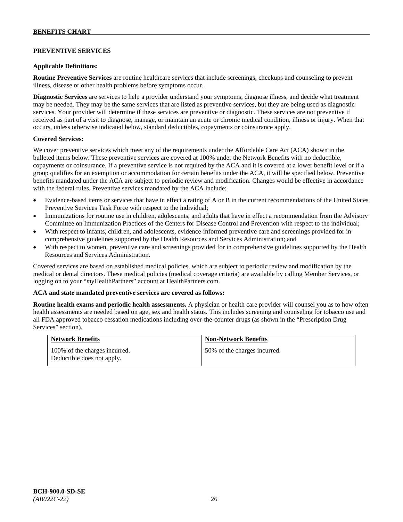# **PREVENTIVE SERVICES**

### **Applicable Definitions:**

**Routine Preventive Services** are routine healthcare services that include screenings, checkups and counseling to prevent illness, disease or other health problems before symptoms occur.

**Diagnostic Services** are services to help a provider understand your symptoms, diagnose illness, and decide what treatment may be needed. They may be the same services that are listed as preventive services, but they are being used as diagnostic services. Your provider will determine if these services are preventive or diagnostic. These services are not preventive if received as part of a visit to diagnose, manage, or maintain an acute or chronic medical condition, illness or injury. When that occurs, unless otherwise indicated below, standard deductibles, copayments or coinsurance apply.

### **Covered Services:**

We cover preventive services which meet any of the requirements under the Affordable Care Act (ACA) shown in the bulleted items below. These preventive services are covered at 100% under the Network Benefits with no deductible, copayments or coinsurance. If a preventive service is not required by the ACA and it is covered at a lower benefit level or if a group qualifies for an exemption or accommodation for certain benefits under the ACA, it will be specified below. Preventive benefits mandated under the ACA are subject to periodic review and modification. Changes would be effective in accordance with the federal rules. Preventive services mandated by the ACA include:

- Evidence-based items or services that have in effect a rating of A or B in the current recommendations of the United States Preventive Services Task Force with respect to the individual;
- Immunizations for routine use in children, adolescents, and adults that have in effect a recommendation from the Advisory Committee on Immunization Practices of the Centers for Disease Control and Prevention with respect to the individual;
- With respect to infants, children, and adolescents, evidence-informed preventive care and screenings provided for in comprehensive guidelines supported by the Health Resources and Services Administration; and
- With respect to women, preventive care and screenings provided for in comprehensive guidelines supported by the Health Resources and Services Administration.

Covered services are based on established medical policies, which are subject to periodic review and modification by the medical or dental directors. These medical policies (medical coverage criteria) are available by calling Member Services, or logging on to your "*my*HealthPartners" account at [HealthPartners.com.](http://www.healthpartners.com/)

#### **ACA and state mandated preventive services are covered as follows:**

**Routine health exams and periodic health assessments.** A physician or health care provider will counsel you as to how often health assessments are needed based on age, sex and health status. This includes screening and counseling for tobacco use and all FDA approved tobacco cessation medications including over-the-counter drugs (as shown in the "Prescription Drug Services" section).

| <b>Network Benefits</b>                                     | <b>Non-Network Benefits</b>  |
|-------------------------------------------------------------|------------------------------|
| 100% of the charges incurred.<br>Deductible does not apply. | 50% of the charges incurred. |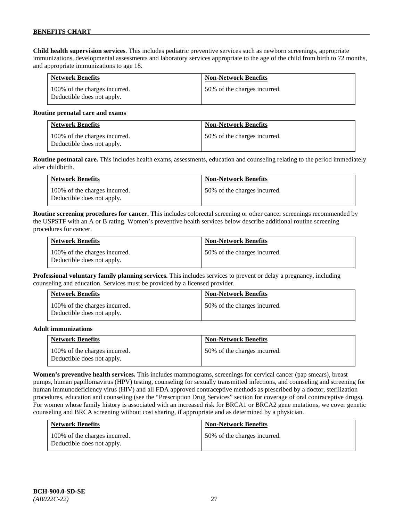**Child health supervision services**. This includes pediatric preventive services such as newborn screenings, appropriate immunizations, developmental assessments and laboratory services appropriate to the age of the child from birth to 72 months, and appropriate immunizations to age 18.

| <b>Network Benefits</b>                                     | <b>Non-Network Benefits</b>  |
|-------------------------------------------------------------|------------------------------|
| 100% of the charges incurred.<br>Deductible does not apply. | 50% of the charges incurred. |

#### **Routine prenatal care and exams**

| <b>Network Benefits</b>                                     | <b>Non-Network Benefits</b>  |
|-------------------------------------------------------------|------------------------------|
| 100% of the charges incurred.<br>Deductible does not apply. | 50% of the charges incurred. |

**Routine postnatal care.** This includes health exams, assessments, education and counseling relating to the period immediately after childbirth.

| <b>Network Benefits</b>                                     | <b>Non-Network Benefits</b>  |
|-------------------------------------------------------------|------------------------------|
| 100% of the charges incurred.<br>Deductible does not apply. | 50% of the charges incurred. |

**Routine screening procedures for cancer.** This includes colorectal screening or other cancer screenings recommended by the USPSTF with an A or B rating. Women's preventive health services below describe additional routine screening procedures for cancer.

| <b>Network Benefits</b>                                     | <b>Non-Network Benefits</b>  |
|-------------------------------------------------------------|------------------------------|
| 100% of the charges incurred.<br>Deductible does not apply. | 50% of the charges incurred. |

**Professional voluntary family planning services.** This includes services to prevent or delay a pregnancy, including counseling and education. Services must be provided by a licensed provider.

| <b>Network Benefits</b>                                     | <b>Non-Network Benefits</b>  |
|-------------------------------------------------------------|------------------------------|
| 100% of the charges incurred.<br>Deductible does not apply. | 50% of the charges incurred. |

#### **Adult immunizations**

| <b>Network Benefits</b>                                     | <b>Non-Network Benefits</b>  |
|-------------------------------------------------------------|------------------------------|
| 100% of the charges incurred.<br>Deductible does not apply. | 50% of the charges incurred. |

**Women's preventive health services.** This includes mammograms, screenings for cervical cancer (pap smears), breast pumps, human papillomavirus (HPV) testing, counseling for sexually transmitted infections, and counseling and screening for human immunodeficiency virus (HIV) and all FDA approved contraceptive methods as prescribed by a doctor, sterilization procedures, education and counseling (see the "Prescription Drug Services" section for coverage of oral contraceptive drugs). For women whose family history is associated with an increased risk for BRCA1 or BRCA2 gene mutations, we cover genetic counseling and BRCA screening without cost sharing, if appropriate and as determined by a physician.

| <b>Network Benefits</b>                                     | <b>Non-Network Benefits</b>  |
|-------------------------------------------------------------|------------------------------|
| 100% of the charges incurred.<br>Deductible does not apply. | 50% of the charges incurred. |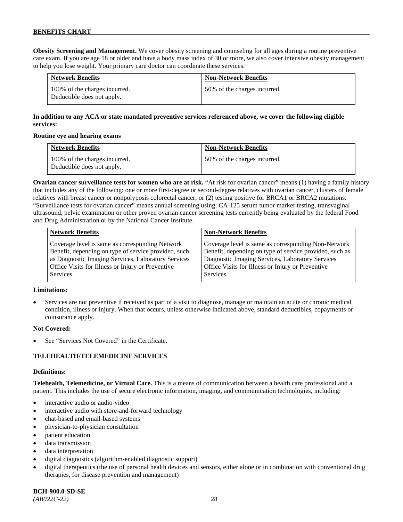**Obesity Screening and Management.** We cover obesity screening and counseling for all ages during a routine preventive care exam. If you are age 18 or older and have a body mass index of 30 or more, we also cover intensive obesity management to help you lose weight. Your primary care doctor can coordinate these services.

| <b>Network Benefits</b>                                     | <b>Non-Network Benefits</b>  |
|-------------------------------------------------------------|------------------------------|
| 100% of the charges incurred.<br>Deductible does not apply. | 50% of the charges incurred. |

# **In addition to any ACA or state mandated preventive services referenced above, we cover the following eligible services:**

### **Routine eye and hearing exams**

| <b>Network Benefits</b>                                     | <b>Non-Network Benefits</b>  |
|-------------------------------------------------------------|------------------------------|
| 100% of the charges incurred.<br>Deductible does not apply. | 50% of the charges incurred. |

**Ovarian cancer surveillance tests for women who are at risk.** "At risk for ovarian cancer" means (1) having a family history that includes any of the following: one or more first-degree or second-degree relatives with ovarian cancer, clusters of female relatives with breast cancer or nonpolyposis colorectal cancer; or (2) testing positive for BRCA1 or BRCA2 mutations. "Surveillance tests for ovarian cancer" means annual screening using: CA-125 serum tumor marker testing, transvaginal ultrasound, pelvic examination or other proven ovarian cancer screening tests currently being evaluated by the federal Food and Drug Administration or by the National Cancer Institute.

| <b>Network Benefits</b>                              | <b>Non-Network Benefits</b>                             |
|------------------------------------------------------|---------------------------------------------------------|
| Coverage level is same as corresponding Network      | Coverage level is same as corresponding Non-Network     |
| Benefit, depending on type of service provided, such | Benefit, depending on type of service provided, such as |
| as Diagnostic Imaging Services, Laboratory Services  | Diagnostic Imaging Services, Laboratory Services        |
| Office Visits for Illness or Injury or Preventive    | Office Visits for Illness or Injury or Preventive       |
| Services.                                            | Services.                                               |

#### **Limitations:**

• Services are not preventive if received as part of a visit to diagnose, manage or maintain an acute or chronic medical condition, illness or injury. When that occurs, unless otherwise indicated above, standard deductibles, copayments or coinsurance apply.

### **Not Covered:**

See "Services Not Covered" in the Certificate.

### **TELEHEALTH/TELEMEDICINE SERVICES**

#### **Definitions:**

**Telehealth, Telemedicine, or Virtual Care.** This is a means of communication between a health care professional and a patient. This includes the use of secure electronic information, imaging, and communication technologies, including:

- interactive audio or audio-video
- interactive audio with store-and-forward technology
- chat-based and email-based systems
- physician-to-physician consultation
- patient education
- data transmission
- data interpretation
- digital diagnostics (algorithm-enabled diagnostic support)
- digital therapeutics (the use of personal health devices and sensors, either alone or in combination with conventional drug therapies, for disease prevention and management)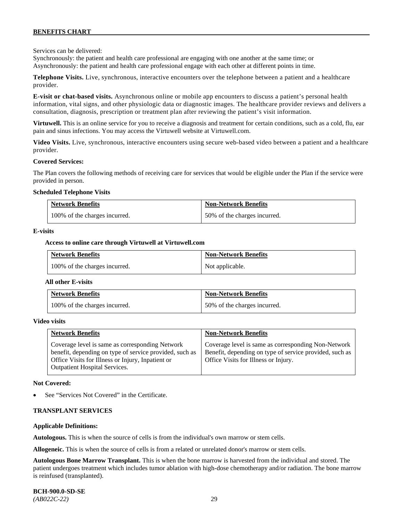Services can be delivered:

Synchronously: the patient and health care professional are engaging with one another at the same time; or Asynchronously: the patient and health care professional engage with each other at different points in time.

**Telephone Visits.** Live, synchronous, interactive encounters over the telephone between a patient and a healthcare provider.

**E-visit or chat-based visits.** Asynchronous online or mobile app encounters to discuss a patient's personal health information, vital signs, and other physiologic data or diagnostic images. The healthcare provider reviews and delivers a consultation, diagnosis, prescription or treatment plan after reviewing the patient's visit information.

**Virtuwell.** This is an online service for you to receive a diagnosis and treatment for certain conditions, such as a cold, flu, ear pain and sinus infections. You may access the Virtuwell website at [Virtuwell.com.](https://www.virtuwell.com/)

**Video Visits.** Live, synchronous, interactive encounters using secure web-based video between a patient and a healthcare provider.

#### **Covered Services:**

The Plan covers the following methods of receiving care for services that would be eligible under the Plan if the service were provided in person.

#### **Scheduled Telephone Visits**

| <b>Network Benefits</b>       | <b>Non-Network Benefits</b>  |
|-------------------------------|------------------------------|
| 100% of the charges incurred. | 50% of the charges incurred. |

#### **E-visits**

#### **Access to online care through Virtuwell at [Virtuwell.com](http://www.virtuwell.com/)**

| <b>Network Benefits</b>       | <b>Non-Network Benefits</b> |
|-------------------------------|-----------------------------|
| 100% of the charges incurred. | Not applicable.             |

#### **All other E-visits**

| <b>Network Benefits</b>       | <b>Non-Network Benefits</b>  |
|-------------------------------|------------------------------|
| 100% of the charges incurred. | 50% of the charges incurred. |

#### **Video visits**

| <b>Network Benefits</b>                                                                                                                                                                                 | <b>Non-Network Benefits</b>                                                                                                                            |
|---------------------------------------------------------------------------------------------------------------------------------------------------------------------------------------------------------|--------------------------------------------------------------------------------------------------------------------------------------------------------|
| Coverage level is same as corresponding Network<br>benefit, depending on type of service provided, such as<br>Office Visits for Illness or Injury, Inpatient or<br><b>Outpatient Hospital Services.</b> | Coverage level is same as corresponding Non-Network<br>Benefit, depending on type of service provided, such as<br>Office Visits for Illness or Injury. |

#### **Not Covered:**

See "Services Not Covered" in the Certificate.

#### **TRANSPLANT SERVICES**

#### **Applicable Definitions:**

**Autologous.** This is when the source of cells is from the individual's own marrow or stem cells.

**Allogeneic.** This is when the source of cells is from a related or unrelated donor's marrow or stem cells.

**Autologous Bone Marrow Transplant.** This is when the bone marrow is harvested from the individual and stored. The patient undergoes treatment which includes tumor ablation with high-dose chemotherapy and/or radiation. The bone marrow is reinfused (transplanted).

**BCH-900.0-SD-SE**  *(AB022C-22)* 29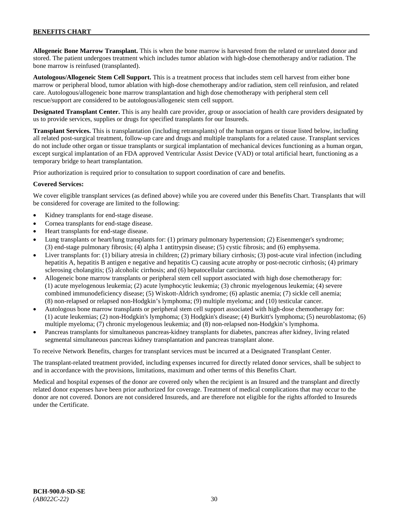**Allogeneic Bone Marrow Transplant.** This is when the bone marrow is harvested from the related or unrelated donor and stored. The patient undergoes treatment which includes tumor ablation with high-dose chemotherapy and/or radiation. The bone marrow is reinfused (transplanted).

**Autologous/Allogeneic Stem Cell Support.** This is a treatment process that includes stem cell harvest from either bone marrow or peripheral blood, tumor ablation with high-dose chemotherapy and/or radiation, stem cell reinfusion, and related care. Autologous/allogeneic bone marrow transplantation and high dose chemotherapy with peripheral stem cell rescue/support are considered to be autologous/allogeneic stem cell support.

**Designated Transplant Center.** This is any health care provider, group or association of health care providers designated by us to provide services, supplies or drugs for specified transplants for our Insureds.

**Transplant Services.** This is transplantation (including retransplants) of the human organs or tissue listed below, including all related post-surgical treatment, follow-up care and drugs and multiple transplants for a related cause. Transplant services do not include other organ or tissue transplants or surgical implantation of mechanical devices functioning as a human organ, except surgical implantation of an FDA approved Ventricular Assist Device (VAD) or total artificial heart, functioning as a temporary bridge to heart transplantation.

Prior authorization is required prior to consultation to support coordination of care and benefits.

### **Covered Services:**

We cover eligible transplant services (as defined above) while you are covered under this Benefits Chart. Transplants that will be considered for coverage are limited to the following:

- Kidney transplants for end-stage disease.
- Cornea transplants for end-stage disease.
- Heart transplants for end-stage disease.
- Lung transplants or heart/lung transplants for: (1) primary pulmonary hypertension; (2) Eisenmenger's syndrome; (3) end-stage pulmonary fibrosis; (4) alpha 1 antitrypsin disease; (5) cystic fibrosis; and (6) emphysema.
- Liver transplants for: (1) biliary atresia in children; (2) primary biliary cirrhosis; (3) post-acute viral infection (including hepatitis A, hepatitis B antigen e negative and hepatitis C) causing acute atrophy or post-necrotic cirrhosis; (4) primary sclerosing cholangitis; (5) alcoholic cirrhosis; and (6) hepatocellular carcinoma.
- Allogeneic bone marrow transplants or peripheral stem cell support associated with high dose chemotherapy for: (1) acute myelogenous leukemia; (2) acute lymphocytic leukemia; (3) chronic myelogenous leukemia; (4) severe combined immunodeficiency disease; (5) Wiskott-Aldrich syndrome; (6) aplastic anemia; (7) sickle cell anemia; (8) non-relapsed or relapsed non-Hodgkin's lymphoma; (9) multiple myeloma; and (10) testicular cancer.
- Autologous bone marrow transplants or peripheral stem cell support associated with high-dose chemotherapy for: (1) acute leukemias; (2) non-Hodgkin's lymphoma; (3) Hodgkin's disease; (4) Burkitt's lymphoma; (5) neuroblastoma; (6) multiple myeloma; (7) chronic myelogenous leukemia; and (8) non-relapsed non-Hodgkin's lymphoma.
- Pancreas transplants for simultaneous pancreas-kidney transplants for diabetes, pancreas after kidney, living related segmental simultaneous pancreas kidney transplantation and pancreas transplant alone.

To receive Network Benefits, charges for transplant services must be incurred at a Designated Transplant Center.

The transplant-related treatment provided, including expenses incurred for directly related donor services, shall be subject to and in accordance with the provisions, limitations, maximum and other terms of this Benefits Chart.

Medical and hospital expenses of the donor are covered only when the recipient is an Insured and the transplant and directly related donor expenses have been prior authorized for coverage. Treatment of medical complications that may occur to the donor are not covered. Donors are not considered Insureds, and are therefore not eligible for the rights afforded to Insureds under the Certificate.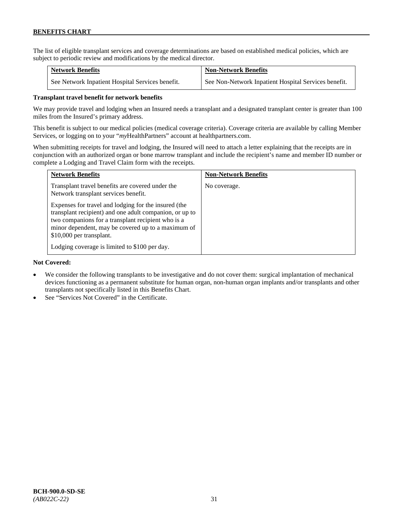The list of eligible transplant services and coverage determinations are based on established medical policies, which are subject to periodic review and modifications by the medical director.

| <b>Network Benefits</b>                          | <b>Non-Network Benefits</b>                          |
|--------------------------------------------------|------------------------------------------------------|
| See Network Inpatient Hospital Services benefit. | See Non-Network Inpatient Hospital Services benefit. |

### **Transplant travel benefit for network benefits**

We may provide travel and lodging when an Insured needs a transplant and a designated transplant center is greater than 100 miles from the Insured's primary address.

This benefit is subject to our medical policies (medical coverage criteria). Coverage criteria are available by calling Member Services, or logging on to your "*my*HealthPartners" account a[t healthpartners.com.](http://www.healthpartners.com/)

When submitting receipts for travel and lodging, the Insured will need to attach a letter explaining that the receipts are in conjunction with an authorized organ or bone marrow transplant and include the recipient's name and member ID number or complete a Lodging and Travel Claim form with the receipts.

| <b>Network Benefits</b>                                                                                                                                                                                                                                 | <b>Non-Network Benefits</b> |
|---------------------------------------------------------------------------------------------------------------------------------------------------------------------------------------------------------------------------------------------------------|-----------------------------|
| Transplant travel benefits are covered under the<br>Network transplant services benefit.                                                                                                                                                                | No coverage.                |
| Expenses for travel and lodging for the insured (the<br>transplant recipient) and one adult companion, or up to<br>two companions for a transplant recipient who is a<br>minor dependent, may be covered up to a maximum of<br>\$10,000 per transplant. |                             |
| Lodging coverage is limited to \$100 per day.                                                                                                                                                                                                           |                             |

### **Not Covered:**

- We consider the following transplants to be investigative and do not cover them: surgical implantation of mechanical devices functioning as a permanent substitute for human organ, non-human organ implants and/or transplants and other transplants not specifically listed in this Benefits Chart.
- See "Services Not Covered" in the Certificate.